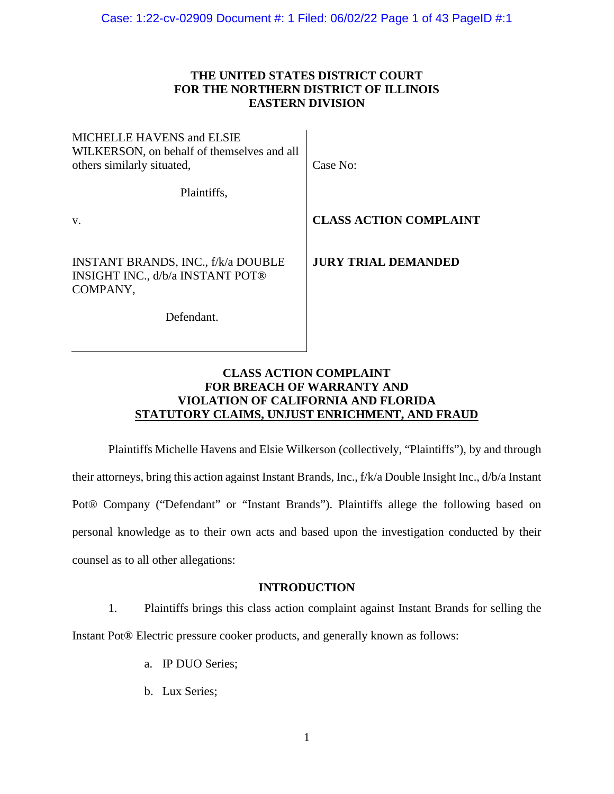# **THE UNITED STATES DISTRICT COURT FOR THE NORTHERN DISTRICT OF ILLINOIS EASTERN DIVISION**

| <b>MICHELLE HAVENS and ELSIE</b><br>WILKERSON, on behalf of themselves and all<br>others similarly situated, | Case No:                      |
|--------------------------------------------------------------------------------------------------------------|-------------------------------|
| Plaintiffs,                                                                                                  |                               |
| V.                                                                                                           | <b>CLASS ACTION COMPLAINT</b> |
| <b>INSTANT BRANDS, INC., f/k/a DOUBLE</b><br><b>INSIGHT INC., d/b/a INSTANT POT®</b><br>COMPANY,             | <b>JURY TRIAL DEMANDED</b>    |
| Defendant.                                                                                                   |                               |

# **CLASS ACTION COMPLAINT FOR BREACH OF WARRANTY AND VIOLATION OF CALIFORNIA AND FLORIDA STATUTORY CLAIMS, UNJUST ENRICHMENT, AND FRAUD**

Plaintiffs Michelle Havens and Elsie Wilkerson (collectively, "Plaintiffs"), by and through their attorneys, bring this action against Instant Brands, Inc., f/k/a Double Insight Inc., d/b/a Instant Pot® Company ("Defendant" or "Instant Brands"). Plaintiffs allege the following based on personal knowledge as to their own acts and based upon the investigation conducted by their counsel as to all other allegations:

# **INTRODUCTION**

1. Plaintiffs brings this class action complaint against Instant Brands for selling the Instant Pot® Electric pressure cooker products, and generally known as follows:

- a. IP DUO Series;
- b. Lux Series;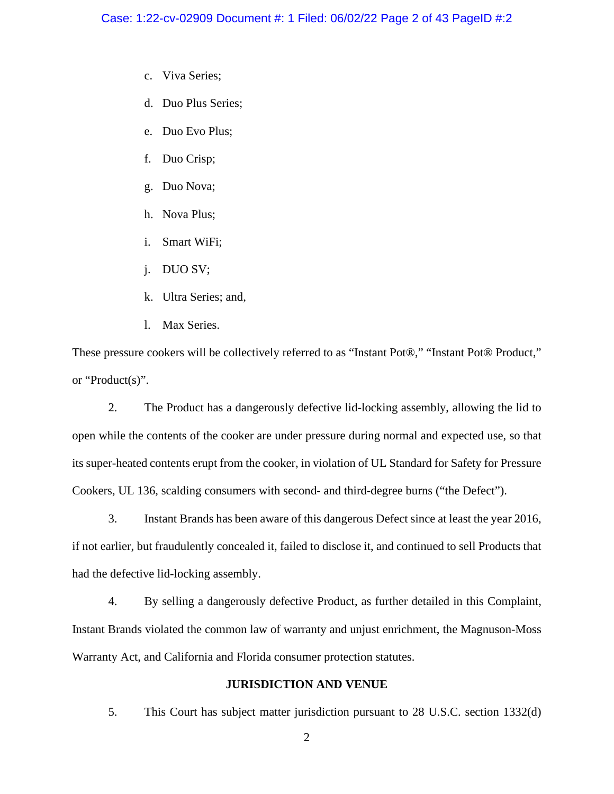- c. Viva Series;
- d. Duo Plus Series;
- e. Duo Evo Plus;
- f. Duo Crisp;
- g. Duo Nova;
- h. Nova Plus;
- i. Smart WiFi;
- j. DUO SV;
- k. Ultra Series; and,
- l. Max Series.

These pressure cookers will be collectively referred to as "Instant Pot®," "Instant Pot® Product," or "Product(s)".

2. The Product has a dangerously defective lid-locking assembly, allowing the lid to open while the contents of the cooker are under pressure during normal and expected use, so that its super-heated contents erupt from the cooker, in violation of UL Standard for Safety for Pressure Cookers, UL 136, scalding consumers with second- and third-degree burns ("the Defect").

3. Instant Brands has been aware of this dangerous Defect since at least the year 2016, if not earlier, but fraudulently concealed it, failed to disclose it, and continued to sell Products that had the defective lid-locking assembly.

4. By selling a dangerously defective Product, as further detailed in this Complaint, Instant Brands violated the common law of warranty and unjust enrichment, the Magnuson-Moss Warranty Act, and California and Florida consumer protection statutes.

# **JURISDICTION AND VENUE**

5. This Court has subject matter jurisdiction pursuant to 28 U.S.C. section 1332(d)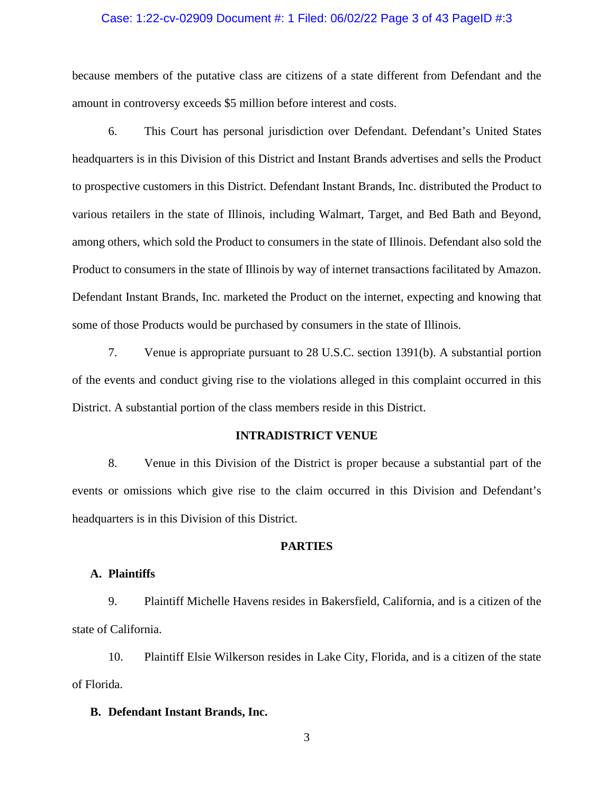## Case: 1:22-cv-02909 Document #: 1 Filed: 06/02/22 Page 3 of 43 PageID #:3

because members of the putative class are citizens of a state different from Defendant and the amount in controversy exceeds \$5 million before interest and costs.

6. This Court has personal jurisdiction over Defendant. Defendant's United States headquarters is in this Division of this District and Instant Brands advertises and sells the Product to prospective customers in this District. Defendant Instant Brands, Inc. distributed the Product to various retailers in the state of Illinois, including Walmart, Target, and Bed Bath and Beyond, among others, which sold the Product to consumers in the state of Illinois. Defendant also sold the Product to consumers in the state of Illinois by way of internet transactions facilitated by Amazon. Defendant Instant Brands, Inc. marketed the Product on the internet, expecting and knowing that some of those Products would be purchased by consumers in the state of Illinois.

7. Venue is appropriate pursuant to 28 U.S.C. section 1391(b). A substantial portion of the events and conduct giving rise to the violations alleged in this complaint occurred in this District. A substantial portion of the class members reside in this District.

# **INTRADISTRICT VENUE**

8. Venue in this Division of the District is proper because a substantial part of the events or omissions which give rise to the claim occurred in this Division and Defendant's headquarters is in this Division of this District.

# **PARTIES**

# **A. Plaintiffs**

9. Plaintiff Michelle Havens resides in Bakersfield, California, and is a citizen of the state of California.

10. Plaintiff Elsie Wilkerson resides in Lake City, Florida, and is a citizen of the state of Florida.

### **B. Defendant Instant Brands, Inc.**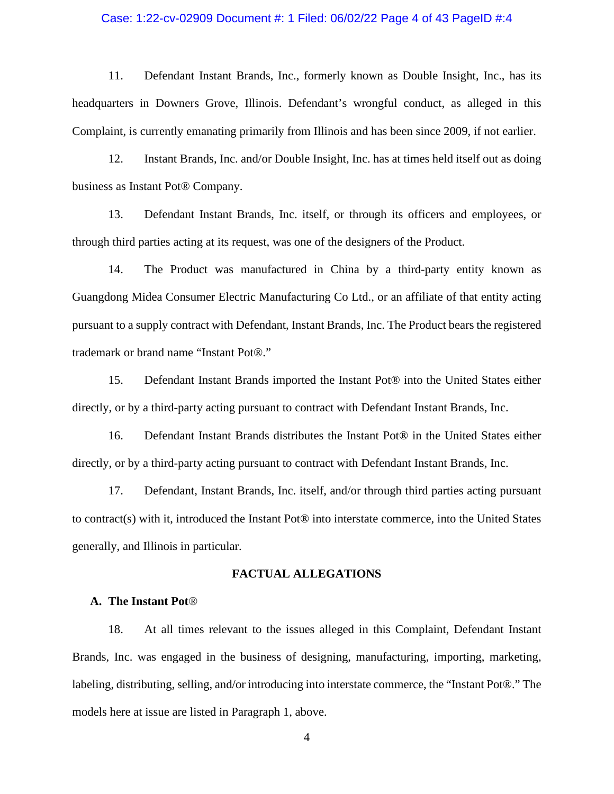### Case: 1:22-cv-02909 Document #: 1 Filed: 06/02/22 Page 4 of 43 PageID #:4

11. Defendant Instant Brands, Inc., formerly known as Double Insight, Inc., has its headquarters in Downers Grove, Illinois. Defendant's wrongful conduct, as alleged in this Complaint, is currently emanating primarily from Illinois and has been since 2009, if not earlier.

12. Instant Brands, Inc. and/or Double Insight, Inc. has at times held itself out as doing business as Instant Pot® Company.

13. Defendant Instant Brands, Inc. itself, or through its officers and employees, or through third parties acting at its request, was one of the designers of the Product.

14. The Product was manufactured in China by a third-party entity known as Guangdong Midea Consumer Electric Manufacturing Co Ltd., or an affiliate of that entity acting pursuant to a supply contract with Defendant, Instant Brands, Inc. The Product bears the registered trademark or brand name "Instant Pot®."

15. Defendant Instant Brands imported the Instant Pot® into the United States either directly, or by a third-party acting pursuant to contract with Defendant Instant Brands, Inc.

16. Defendant Instant Brands distributes the Instant Pot® in the United States either directly, or by a third-party acting pursuant to contract with Defendant Instant Brands, Inc.

17. Defendant, Instant Brands, Inc. itself, and/or through third parties acting pursuant to contract(s) with it, introduced the Instant Pot® into interstate commerce, into the United States generally, and Illinois in particular.

# **FACTUAL ALLEGATIONS**

### **A. The Instant Pot**®

18. At all times relevant to the issues alleged in this Complaint, Defendant Instant Brands, Inc. was engaged in the business of designing, manufacturing, importing, marketing, labeling, distributing, selling, and/or introducing into interstate commerce, the "Instant Pot®." The models here at issue are listed in Paragraph 1, above.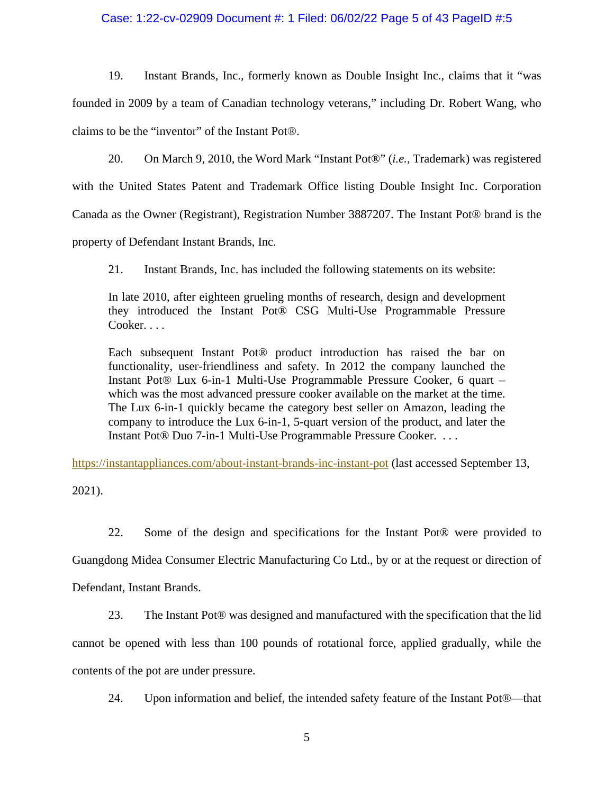# Case: 1:22-cv-02909 Document #: 1 Filed: 06/02/22 Page 5 of 43 PageID #:5

19. Instant Brands, Inc., formerly known as Double Insight Inc., claims that it "was founded in 2009 by a team of Canadian technology veterans," including Dr. Robert Wang, who claims to be the "inventor" of the Instant Pot®.

20. On March 9, 2010, the Word Mark "Instant Pot®" (*i.e.*, Trademark) was registered

with the United States Patent and Trademark Office listing Double Insight Inc. Corporation

Canada as the Owner (Registrant), Registration Number 3887207. The Instant Pot® brand is the

property of Defendant Instant Brands, Inc.

21. Instant Brands, Inc. has included the following statements on its website:

In late 2010, after eighteen grueling months of research, design and development they introduced the Instant Pot® CSG Multi-Use Programmable Pressure Cooker. . . .

Each subsequent Instant Pot® product introduction has raised the bar on functionality, user-friendliness and safety. In 2012 the company launched the Instant Pot® Lux 6-in-1 Multi-Use Programmable Pressure Cooker, 6 quart – which was the most advanced pressure cooker available on the market at the time. The Lux 6-in-1 quickly became the category best seller on Amazon, leading the company to introduce the Lux 6-in-1, 5-quart version of the product, and later the Instant Pot® Duo 7-in-1 Multi-Use Programmable Pressure Cooker. . . .

https://instantappliances.com/about-instant-brands-inc-instant-pot (last accessed September 13,

2021).

22. Some of the design and specifications for the Instant Pot® were provided to Guangdong Midea Consumer Electric Manufacturing Co Ltd., by or at the request or direction of Defendant, Instant Brands.

23. The Instant Pot® was designed and manufactured with the specification that the lid cannot be opened with less than 100 pounds of rotational force, applied gradually, while the contents of the pot are under pressure.

24. Upon information and belief, the intended safety feature of the Instant Pot®—that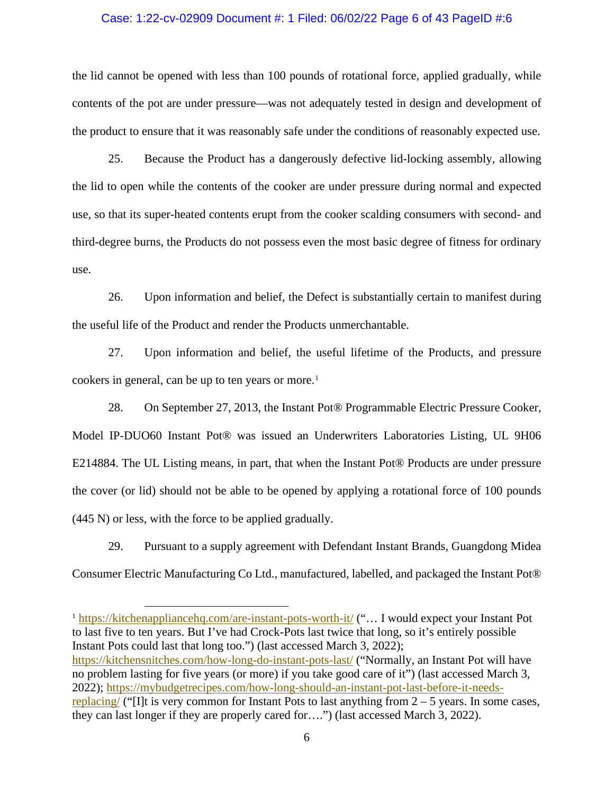#### Case: 1:22-cv-02909 Document #: 1 Filed: 06/02/22 Page 6 of 43 PageID #:6

the lid cannot be opened with less than 100 pounds of rotational force, applied gradually, while contents of the pot are under pressure—was not adequately tested in design and development of the product to ensure that it was reasonably safe under the conditions of reasonably expected use.

25. Because the Product has a dangerously defective lid-locking assembly, allowing the lid to open while the contents of the cooker are under pressure during normal and expected use, so that its super-heated contents erupt from the cooker scalding consumers with second- and third-degree burns, the Products do not possess even the most basic degree of fitness for ordinary use.

26. Upon information and belief, the Defect is substantially certain to manifest during the useful life of the Product and render the Products unmerchantable.

27. Upon information and belief, the useful lifetime of the Products, and pressure cookers in general, can be up to ten years or more.<sup>1</sup>

28. On September 27, 2013, the Instant Pot® Programmable Electric Pressure Cooker, Model IP-DUO60 Instant Pot® was issued an Underwriters Laboratories Listing, UL 9H06 E214884. The UL Listing means, in part, that when the Instant Pot® Products are under pressure the cover (or lid) should not be able to be opened by applying a rotational force of 100 pounds (445 N) or less, with the force to be applied gradually.

29. Pursuant to a supply agreement with Defendant Instant Brands, Guangdong Midea Consumer Electric Manufacturing Co Ltd., manufactured, labelled, and packaged the Instant Pot®

<sup>1</sup> https://kitchenappliancehq.com/are-instant-pots-worth-it/ ("... I would expect your Instant Pot to last five to ten years. But I've had Crock-Pots last twice that long, so it's entirely possible Instant Pots could last that long too.") (last accessed March 3, 2022); https://kitchensnitches.com/how-long-do-instant-pots-last/ ("Normally, an Instant Pot will have no problem lasting for five years (or more) if you take good care of it") (last accessed March 3, 2022); https://mybudgetrecipes.com/how-long-should-an-instant-pot-last-before-it-needsreplacing/ ("I]t is very common for Instant Pots to last anything from  $2 - 5$  years. In some cases, they can last longer if they are properly cared for….") (last accessed March 3, 2022).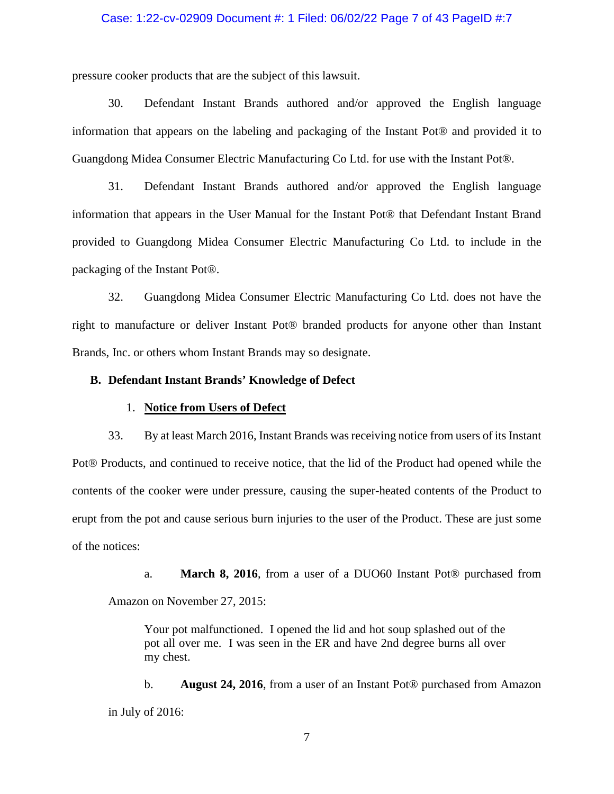# Case: 1:22-cv-02909 Document #: 1 Filed: 06/02/22 Page 7 of 43 PageID #:7

pressure cooker products that are the subject of this lawsuit.

30. Defendant Instant Brands authored and/or approved the English language information that appears on the labeling and packaging of the Instant Pot® and provided it to Guangdong Midea Consumer Electric Manufacturing Co Ltd. for use with the Instant Pot®.

31. Defendant Instant Brands authored and/or approved the English language information that appears in the User Manual for the Instant Pot® that Defendant Instant Brand provided to Guangdong Midea Consumer Electric Manufacturing Co Ltd. to include in the packaging of the Instant Pot®.

32. Guangdong Midea Consumer Electric Manufacturing Co Ltd. does not have the right to manufacture or deliver Instant Pot® branded products for anyone other than Instant Brands, Inc. or others whom Instant Brands may so designate.

### **B. Defendant Instant Brands' Knowledge of Defect**

# 1. **Notice from Users of Defect**

33. By at least March 2016, Instant Brands wasreceiving notice from users of its Instant Pot® Products, and continued to receive notice, that the lid of the Product had opened while the contents of the cooker were under pressure, causing the super-heated contents of the Product to erupt from the pot and cause serious burn injuries to the user of the Product. These are just some of the notices:

a. **March 8, 2016**, from a user of a DUO60 Instant Pot® purchased from Amazon on November 27, 2015:

Your pot malfunctioned. I opened the lid and hot soup splashed out of the pot all over me. I was seen in the ER and have 2nd degree burns all over my chest.

b. **August 24, 2016**, from a user of an Instant Pot® purchased from Amazon in July of 2016: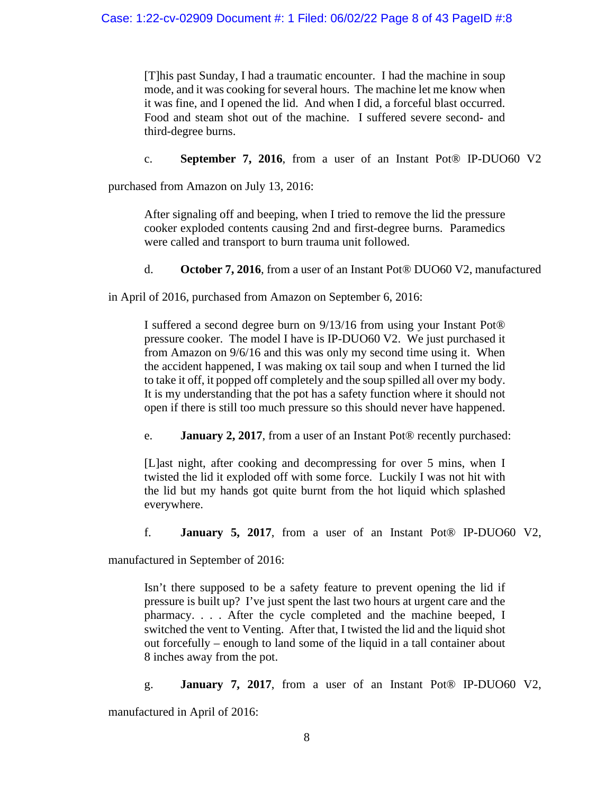[T]his past Sunday, I had a traumatic encounter. I had the machine in soup mode, and it was cooking for several hours. The machine let me know when it was fine, and I opened the lid. And when I did, a forceful blast occurred. Food and steam shot out of the machine. I suffered severe second- and third-degree burns.

c. **September 7, 2016**, from a user of an Instant Pot® IP-DUO60 V2

purchased from Amazon on July 13, 2016:

After signaling off and beeping, when I tried to remove the lid the pressure cooker exploded contents causing 2nd and first-degree burns. Paramedics were called and transport to burn trauma unit followed.

d. **October 7, 2016**, from a user of an Instant Pot® DUO60 V2, manufactured

in April of 2016, purchased from Amazon on September 6, 2016:

I suffered a second degree burn on 9/13/16 from using your Instant Pot® pressure cooker. The model I have is IP-DUO60 V2. We just purchased it from Amazon on 9/6/16 and this was only my second time using it. When the accident happened, I was making ox tail soup and when I turned the lid to take it off, it popped off completely and the soup spilled all over my body. It is my understanding that the pot has a safety function where it should not open if there is still too much pressure so this should never have happened.

e. **January 2, 2017**, from a user of an Instant Pot® recently purchased:

[L]ast night, after cooking and decompressing for over 5 mins, when I twisted the lid it exploded off with some force. Luckily I was not hit with the lid but my hands got quite burnt from the hot liquid which splashed everywhere.

f. **January 5, 2017**, from a user of an Instant Pot® IP-DUO60 V2,

manufactured in September of 2016:

Isn't there supposed to be a safety feature to prevent opening the lid if pressure is built up? I've just spent the last two hours at urgent care and the pharmacy. . . . After the cycle completed and the machine beeped, I switched the vent to Venting. After that, I twisted the lid and the liquid shot out forcefully – enough to land some of the liquid in a tall container about 8 inches away from the pot.

g. **January 7, 2017**, from a user of an Instant Pot® IP-DUO60 V2, manufactured in April of 2016: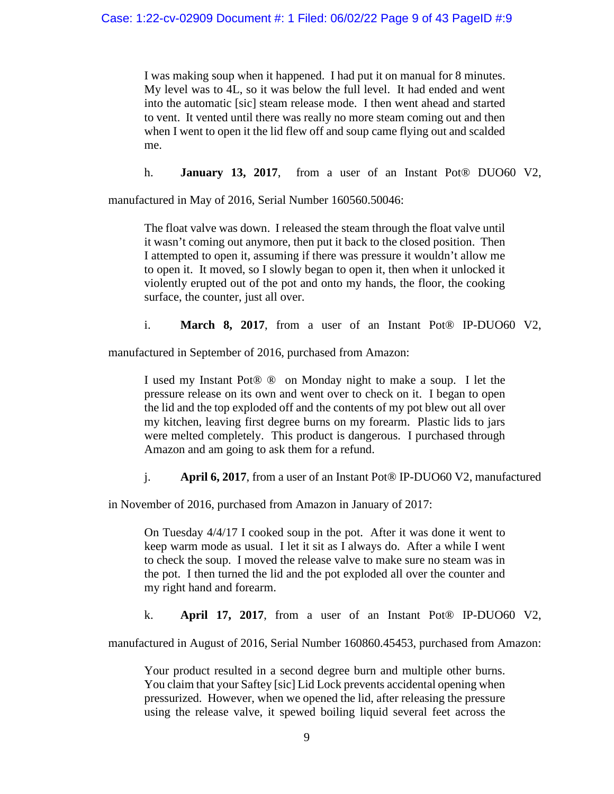I was making soup when it happened. I had put it on manual for 8 minutes. My level was to 4L, so it was below the full level. It had ended and went into the automatic [sic] steam release mode. I then went ahead and started to vent. It vented until there was really no more steam coming out and then when I went to open it the lid flew off and soup came flying out and scalded me.

h. **January 13, 2017**, from a user of an Instant Pot® DUO60 V2,

manufactured in May of 2016, Serial Number 160560.50046:

The float valve was down. I released the steam through the float valve until it wasn't coming out anymore, then put it back to the closed position. Then I attempted to open it, assuming if there was pressure it wouldn't allow me to open it. It moved, so I slowly began to open it, then when it unlocked it violently erupted out of the pot and onto my hands, the floor, the cooking surface, the counter, just all over.

i. **March 8, 2017**, from a user of an Instant Pot® IP-DUO60 V2,

manufactured in September of 2016, purchased from Amazon:

I used my Instant Pot® ® on Monday night to make a soup. I let the pressure release on its own and went over to check on it. I began to open the lid and the top exploded off and the contents of my pot blew out all over my kitchen, leaving first degree burns on my forearm. Plastic lids to jars were melted completely. This product is dangerous. I purchased through Amazon and am going to ask them for a refund.

j. **April 6, 2017**, from a user of an Instant Pot® IP-DUO60 V2, manufactured

in November of 2016, purchased from Amazon in January of 2017:

On Tuesday 4/4/17 I cooked soup in the pot. After it was done it went to keep warm mode as usual. I let it sit as I always do. After a while I went to check the soup. I moved the release valve to make sure no steam was in the pot. I then turned the lid and the pot exploded all over the counter and my right hand and forearm.

k. **April 17, 2017**, from a user of an Instant Pot® IP-DUO60 V2,

manufactured in August of 2016, Serial Number 160860.45453, purchased from Amazon:

Your product resulted in a second degree burn and multiple other burns. You claim that your Saftey [sic] Lid Lock prevents accidental opening when pressurized. However, when we opened the lid, after releasing the pressure using the release valve, it spewed boiling liquid several feet across the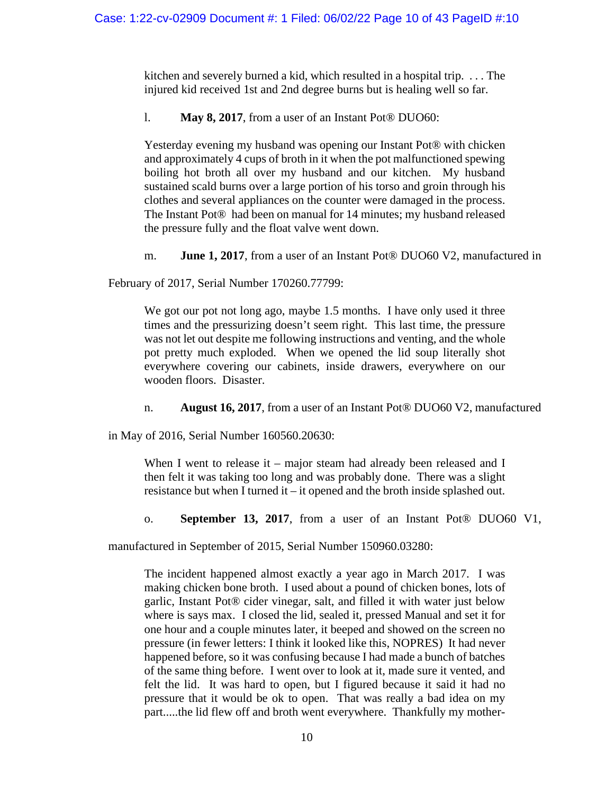kitchen and severely burned a kid, which resulted in a hospital trip. . . . The injured kid received 1st and 2nd degree burns but is healing well so far.

l. **May 8, 2017**, from a user of an Instant Pot® DUO60:

Yesterday evening my husband was opening our Instant Pot® with chicken and approximately 4 cups of broth in it when the pot malfunctioned spewing boiling hot broth all over my husband and our kitchen. My husband sustained scald burns over a large portion of his torso and groin through his clothes and several appliances on the counter were damaged in the process. The Instant Pot® had been on manual for 14 minutes; my husband released the pressure fully and the float valve went down.

m. **June 1, 2017**, from a user of an Instant Pot® DUO60 V2, manufactured in

February of 2017, Serial Number 170260.77799:

We got our pot not long ago, maybe 1.5 months. I have only used it three times and the pressurizing doesn't seem right. This last time, the pressure was not let out despite me following instructions and venting, and the whole pot pretty much exploded. When we opened the lid soup literally shot everywhere covering our cabinets, inside drawers, everywhere on our wooden floors. Disaster.

n. **August 16, 2017**, from a user of an Instant Pot® DUO60 V2, manufactured

in May of 2016, Serial Number 160560.20630:

When I went to release it – major steam had already been released and I then felt it was taking too long and was probably done. There was a slight resistance but when I turned it – it opened and the broth inside splashed out.

o. **September 13, 2017**, from a user of an Instant Pot® DUO60 V1,

manufactured in September of 2015, Serial Number 150960.03280:

The incident happened almost exactly a year ago in March 2017. I was making chicken bone broth. I used about a pound of chicken bones, lots of garlic, Instant Pot® cider vinegar, salt, and filled it with water just below where is says max. I closed the lid, sealed it, pressed Manual and set it for one hour and a couple minutes later, it beeped and showed on the screen no pressure (in fewer letters: I think it looked like this, NOPRES) It had never happened before, so it was confusing because I had made a bunch of batches of the same thing before. I went over to look at it, made sure it vented, and felt the lid. It was hard to open, but I figured because it said it had no pressure that it would be ok to open. That was really a bad idea on my part.....the lid flew off and broth went everywhere. Thankfully my mother-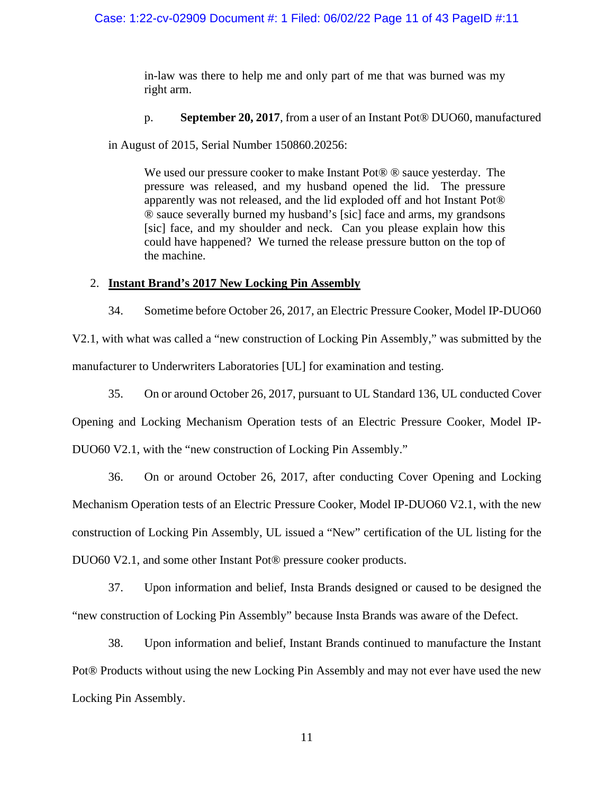in-law was there to help me and only part of me that was burned was my right arm.

p. **September 20, 2017**, from a user of an Instant Pot® DUO60, manufactured

in August of 2015, Serial Number 150860.20256:

We used our pressure cooker to make Instant Pot<sup>®</sup> ® sauce yesterday. The pressure was released, and my husband opened the lid. The pressure apparently was not released, and the lid exploded off and hot Instant Pot® ® sauce severally burned my husband's [sic] face and arms, my grandsons [sic] face, and my shoulder and neck. Can you please explain how this could have happened? We turned the release pressure button on the top of the machine.

# 2. **Instant Brand's 2017 New Locking Pin Assembly**

34. Sometime before October 26, 2017, an Electric Pressure Cooker, Model IP-DUO60 V2.1, with what was called a "new construction of Locking Pin Assembly," was submitted by the manufacturer to Underwriters Laboratories [UL] for examination and testing.

35. On or around October 26, 2017, pursuant to UL Standard 136, UL conducted Cover Opening and Locking Mechanism Operation tests of an Electric Pressure Cooker, Model IP-DUO60 V2.1, with the "new construction of Locking Pin Assembly."

36. On or around October 26, 2017, after conducting Cover Opening and Locking Mechanism Operation tests of an Electric Pressure Cooker, Model IP-DUO60 V2.1, with the new construction of Locking Pin Assembly, UL issued a "New" certification of the UL listing for the DUO60 V2.1, and some other Instant Pot® pressure cooker products.

37. Upon information and belief, Insta Brands designed or caused to be designed the "new construction of Locking Pin Assembly" because Insta Brands was aware of the Defect.

38. Upon information and belief, Instant Brands continued to manufacture the Instant Pot® Products without using the new Locking Pin Assembly and may not ever have used the new Locking Pin Assembly.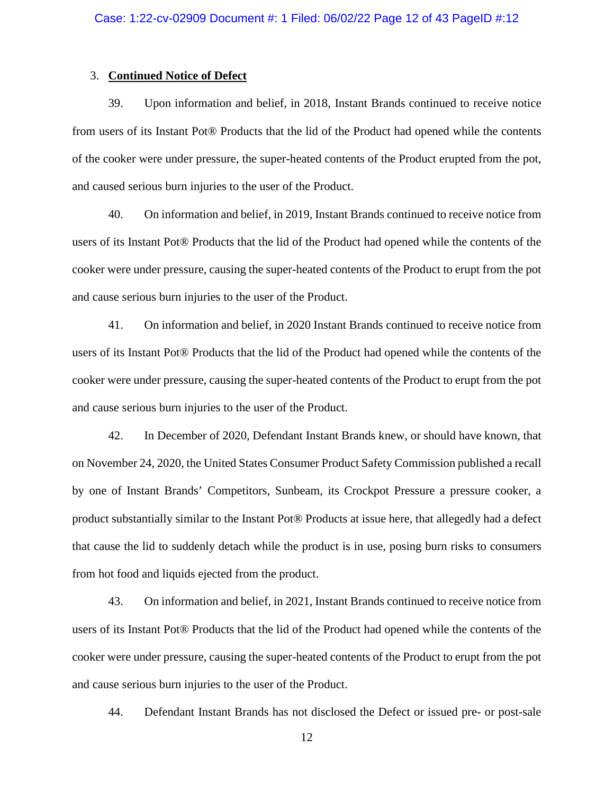#### 3. **Continued Notice of Defect**

39. Upon information and belief, in 2018, Instant Brands continued to receive notice from users of its Instant Pot® Products that the lid of the Product had opened while the contents of the cooker were under pressure, the super-heated contents of the Product erupted from the pot, and caused serious burn injuries to the user of the Product.

40. On information and belief, in 2019, Instant Brands continued to receive notice from users of its Instant Pot® Products that the lid of the Product had opened while the contents of the cooker were under pressure, causing the super-heated contents of the Product to erupt from the pot and cause serious burn injuries to the user of the Product.

41. On information and belief, in 2020 Instant Brands continued to receive notice from users of its Instant Pot® Products that the lid of the Product had opened while the contents of the cooker were under pressure, causing the super-heated contents of the Product to erupt from the pot and cause serious burn injuries to the user of the Product.

42. In December of 2020, Defendant Instant Brands knew, or should have known, that on November 24, 2020, the United States Consumer Product Safety Commission published a recall by one of Instant Brands' Competitors, Sunbeam, its Crockpot Pressure a pressure cooker, a product substantially similar to the Instant Pot® Products at issue here, that allegedly had a defect that cause the lid to suddenly detach while the product is in use, posing burn risks to consumers from hot food and liquids ejected from the product.

43. On information and belief, in 2021, Instant Brands continued to receive notice from users of its Instant Pot® Products that the lid of the Product had opened while the contents of the cooker were under pressure, causing the super-heated contents of the Product to erupt from the pot and cause serious burn injuries to the user of the Product.

44. Defendant Instant Brands has not disclosed the Defect or issued pre- or post-sale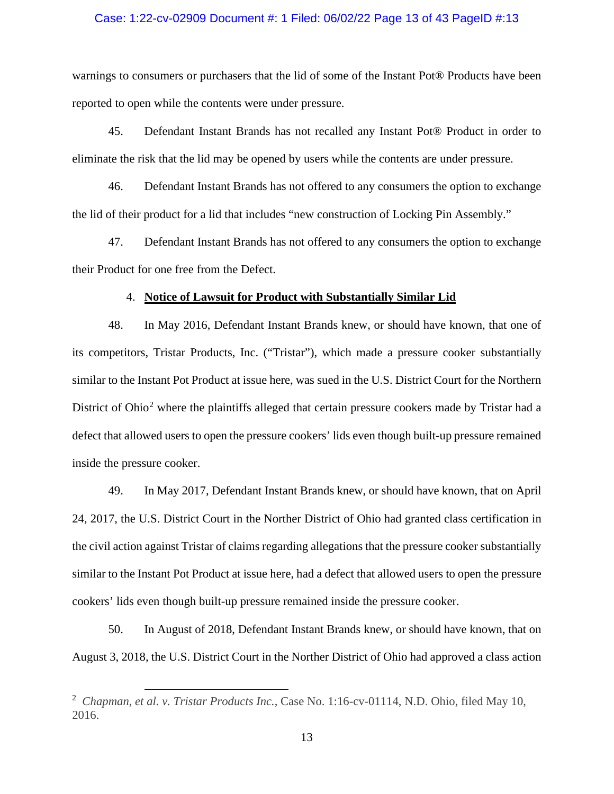### Case: 1:22-cv-02909 Document #: 1 Filed: 06/02/22 Page 13 of 43 PageID #:13

warnings to consumers or purchasers that the lid of some of the Instant Pot® Products have been reported to open while the contents were under pressure.

45. Defendant Instant Brands has not recalled any Instant Pot® Product in order to eliminate the risk that the lid may be opened by users while the contents are under pressure.

46. Defendant Instant Brands has not offered to any consumers the option to exchange the lid of their product for a lid that includes "new construction of Locking Pin Assembly."

47. Defendant Instant Brands has not offered to any consumers the option to exchange their Product for one free from the Defect.

#### 4. **Notice of Lawsuit for Product with Substantially Similar Lid**

48. In May 2016, Defendant Instant Brands knew, or should have known, that one of its competitors, Tristar Products, Inc. ("Tristar"), which made a pressure cooker substantially similar to the Instant Pot Product at issue here, was sued in the U.S. District Court for the Northern District of Ohio<sup>2</sup> where the plaintiffs alleged that certain pressure cookers made by Tristar had a defect that allowed users to open the pressure cookers' lids even though built-up pressure remained inside the pressure cooker.

49. In May 2017, Defendant Instant Brands knew, or should have known, that on April 24, 2017, the U.S. District Court in the Norther District of Ohio had granted class certification in the civil action against Tristar of claims regarding allegations that the pressure cooker substantially similar to the Instant Pot Product at issue here, had a defect that allowed users to open the pressure cookers' lids even though built-up pressure remained inside the pressure cooker.

50. In August of 2018, Defendant Instant Brands knew, or should have known, that on August 3, 2018, the U.S. District Court in the Norther District of Ohio had approved a class action

<sup>2</sup> *Chapman, et al. v. Tristar Products Inc.*, Case No. 1:16-cv-01114, N.D. Ohio, filed May 10, 2016.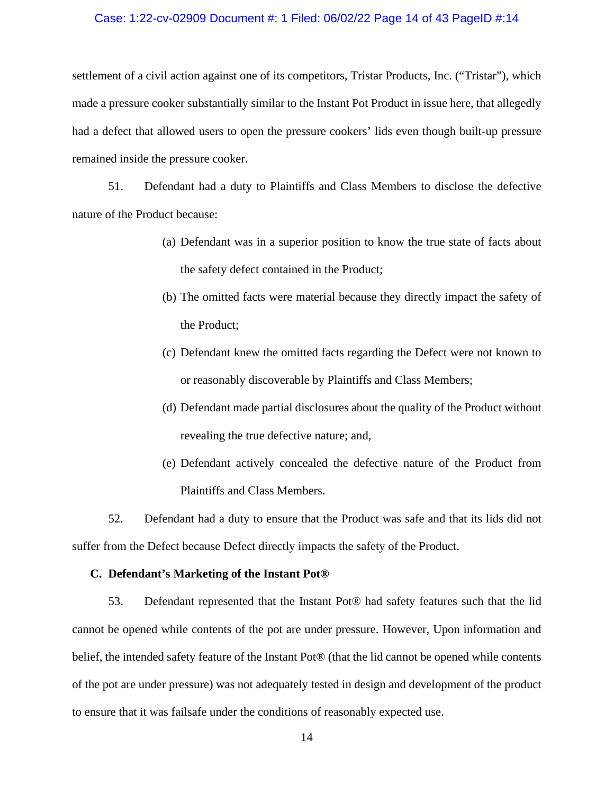### Case: 1:22-cv-02909 Document #: 1 Filed: 06/02/22 Page 14 of 43 PageID #:14

settlement of a civil action against one of its competitors, Tristar Products, Inc. ("Tristar"), which made a pressure cooker substantially similar to the Instant Pot Product in issue here, that allegedly had a defect that allowed users to open the pressure cookers' lids even though built-up pressure remained inside the pressure cooker.

51. Defendant had a duty to Plaintiffs and Class Members to disclose the defective nature of the Product because:

- (a) Defendant was in a superior position to know the true state of facts about the safety defect contained in the Product;
- (b) The omitted facts were material because they directly impact the safety of the Product;
- (c) Defendant knew the omitted facts regarding the Defect were not known to or reasonably discoverable by Plaintiffs and Class Members;
- (d) Defendant made partial disclosures about the quality of the Product without revealing the true defective nature; and,
- (e) Defendant actively concealed the defective nature of the Product from Plaintiffs and Class Members.

52. Defendant had a duty to ensure that the Product was safe and that its lids did not suffer from the Defect because Defect directly impacts the safety of the Product.

# **C. Defendant's Marketing of the Instant Pot®**

53. Defendant represented that the Instant Pot® had safety features such that the lid cannot be opened while contents of the pot are under pressure. However, Upon information and belief, the intended safety feature of the Instant Pot® (that the lid cannot be opened while contents of the pot are under pressure) was not adequately tested in design and development of the product to ensure that it was failsafe under the conditions of reasonably expected use.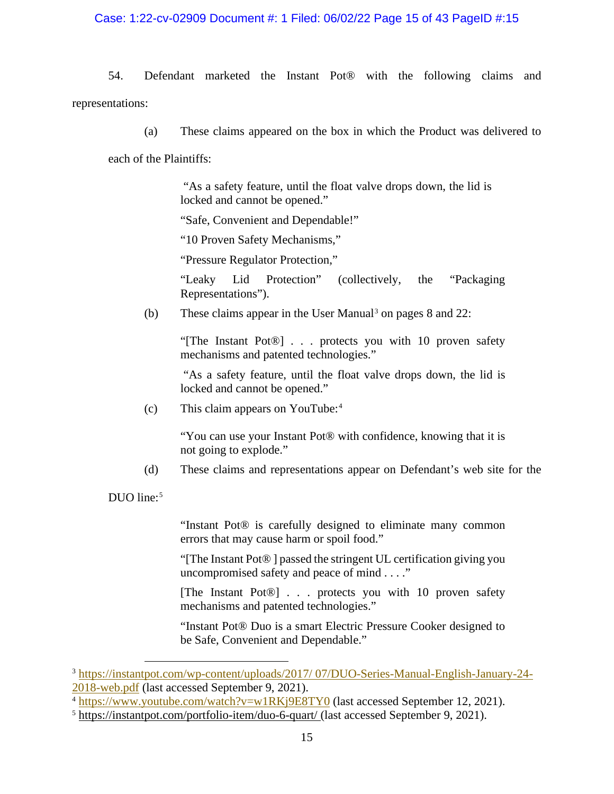# Case: 1:22-cv-02909 Document #: 1 Filed: 06/02/22 Page 15 of 43 PageID #:15

54. Defendant marketed the Instant Pot® with the following claims and representations:

(a) These claims appeared on the box in which the Product was delivered to each of the Plaintiffs:

> "As a safety feature, until the float valve drops down, the lid is locked and cannot be opened."

"Safe, Convenient and Dependable!"

"10 Proven Safety Mechanisms,"

"Pressure Regulator Protection,"

"Leaky Lid Protection" (collectively, the "Packaging Representations").

(b) These claims appear in the User Manual<sup>3</sup> on pages  $8$  and  $22$ :

"[The Instant Pot®] . . . protects you with 10 proven safety mechanisms and patented technologies."

"As a safety feature, until the float valve drops down, the lid is locked and cannot be opened."

(c) This claim appears on YouTube:4

"You can use your Instant Pot® with confidence, knowing that it is not going to explode."

(d) These claims and representations appear on Defendant's web site for the

DUO line: $5$ 

"Instant Pot® is carefully designed to eliminate many common errors that may cause harm or spoil food."

"[The Instant Pot® ] passed the stringent UL certification giving you uncompromised safety and peace of mind . . . ."

[The Instant Pot®] . . . protects you with 10 proven safety mechanisms and patented technologies."

"Instant Pot® Duo is a smart Electric Pressure Cooker designed to be Safe, Convenient and Dependable."

<sup>3</sup> https://instantpot.com/wp-content/uploads/2017/ 07/DUO-Series-Manual-English-January-24- 2018-web.pdf (last accessed September 9, 2021).

<sup>4</sup> https://www.youtube.com/watch?v=w1RKj9E8TY0 (last accessed September 12, 2021).

<sup>5</sup> https://instantpot.com/portfolio-item/duo-6-quart/ (last accessed September 9, 2021).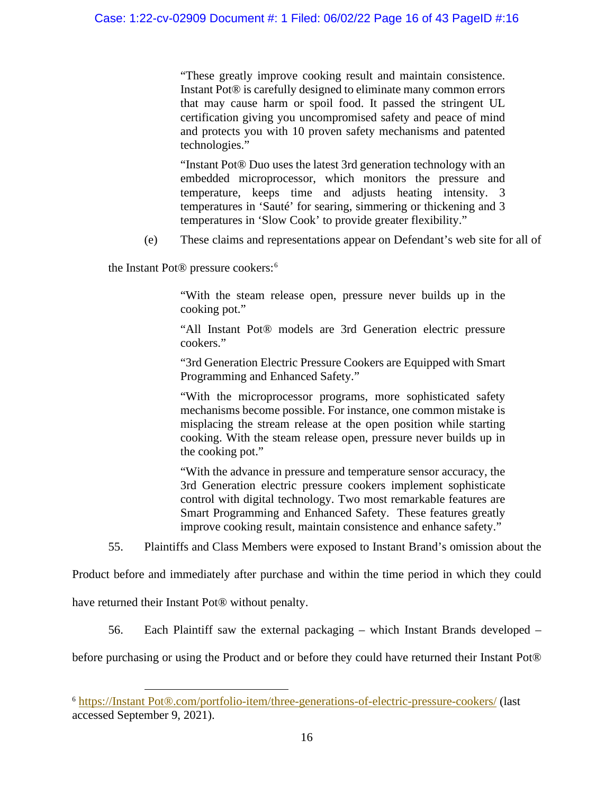"These greatly improve cooking result and maintain consistence. Instant Pot® is carefully designed to eliminate many common errors that may cause harm or spoil food. It passed the stringent UL certification giving you uncompromised safety and peace of mind and protects you with 10 proven safety mechanisms and patented technologies."

"Instant Pot® Duo uses the latest 3rd generation technology with an embedded microprocessor, which monitors the pressure and temperature, keeps time and adjusts heating intensity. 3 temperatures in 'Sauté' for searing, simmering or thickening and 3 temperatures in 'Slow Cook' to provide greater flexibility."

(e) These claims and representations appear on Defendant's web site for all of

the Instant Pot® pressure cookers: 6

"With the steam release open, pressure never builds up in the cooking pot."

"All Instant Pot® models are 3rd Generation electric pressure cookers."

"3rd Generation Electric Pressure Cookers are Equipped with Smart Programming and Enhanced Safety."

"With the microprocessor programs, more sophisticated safety mechanisms become possible. For instance, one common mistake is misplacing the stream release at the open position while starting cooking. With the steam release open, pressure never builds up in the cooking pot."

"With the advance in pressure and temperature sensor accuracy, the 3rd Generation electric pressure cookers implement sophisticate control with digital technology. Two most remarkable features are Smart Programming and Enhanced Safety. These features greatly improve cooking result, maintain consistence and enhance safety."

55. Plaintiffs and Class Members were exposed to Instant Brand's omission about the

Product before and immediately after purchase and within the time period in which they could

have returned their Instant Pot® without penalty.

56. Each Plaintiff saw the external packaging – which Instant Brands developed –

before purchasing or using the Product and or before they could have returned their Instant Pot®

<sup>6</sup> https://Instant Pot®.com/portfolio-item/three-generations-of-electric-pressure-cookers/ (last accessed September 9, 2021).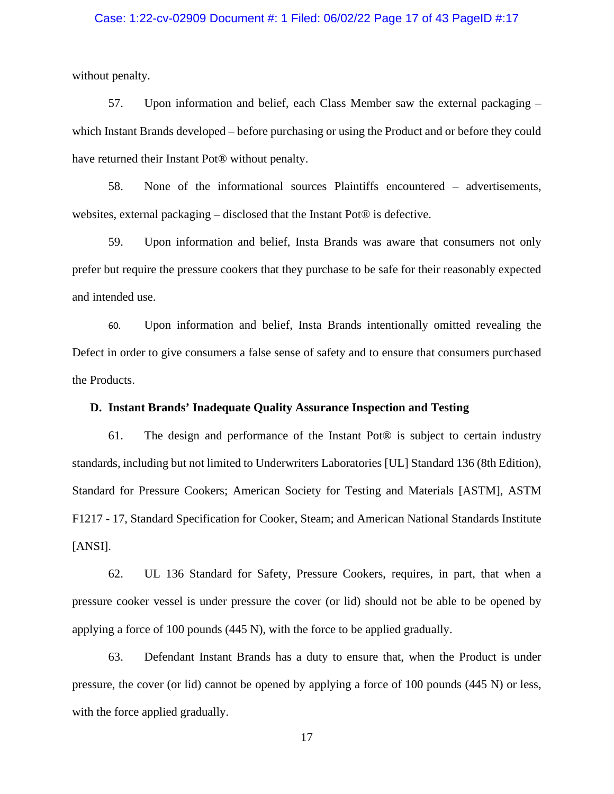# Case: 1:22-cv-02909 Document #: 1 Filed: 06/02/22 Page 17 of 43 PageID #:17

without penalty.

57. Upon information and belief, each Class Member saw the external packaging – which Instant Brands developed – before purchasing or using the Product and or before they could have returned their Instant Pot® without penalty.

58. None of the informational sources Plaintiffs encountered – advertisements, websites, external packaging – disclosed that the Instant Pot® is defective.

59. Upon information and belief, Insta Brands was aware that consumers not only prefer but require the pressure cookers that they purchase to be safe for their reasonably expected and intended use.

60. Upon information and belief, Insta Brands intentionally omitted revealing the Defect in order to give consumers a false sense of safety and to ensure that consumers purchased the Products.

# **D. Instant Brands' Inadequate Quality Assurance Inspection and Testing**

61. The design and performance of the Instant Pot® is subject to certain industry standards, including but not limited to Underwriters Laboratories [UL] Standard 136 (8th Edition), Standard for Pressure Cookers; American Society for Testing and Materials [ASTM], ASTM F1217 - 17, Standard Specification for Cooker, Steam; and American National Standards Institute [ANSI].

62. UL 136 Standard for Safety, Pressure Cookers, requires, in part, that when a pressure cooker vessel is under pressure the cover (or lid) should not be able to be opened by applying a force of 100 pounds (445 N), with the force to be applied gradually.

63. Defendant Instant Brands has a duty to ensure that, when the Product is under pressure, the cover (or lid) cannot be opened by applying a force of 100 pounds (445 N) or less, with the force applied gradually.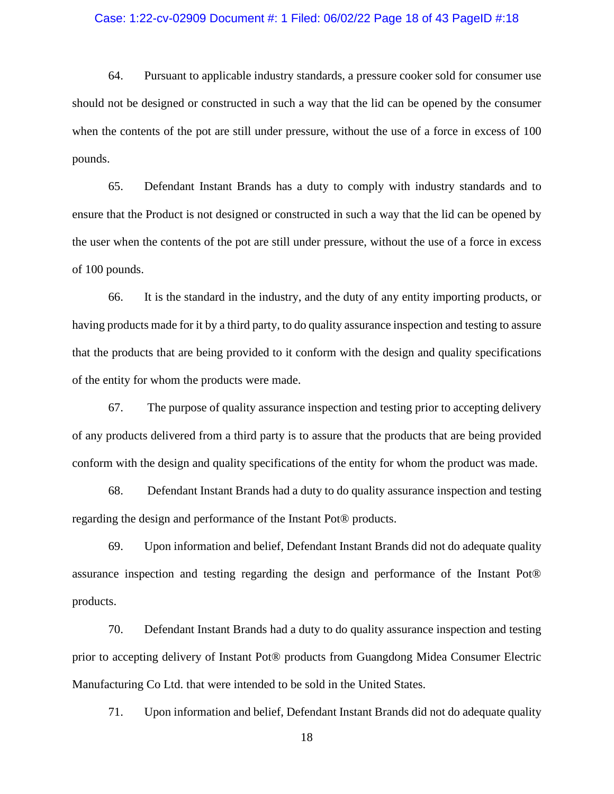### Case: 1:22-cv-02909 Document #: 1 Filed: 06/02/22 Page 18 of 43 PageID #:18

64. Pursuant to applicable industry standards, a pressure cooker sold for consumer use should not be designed or constructed in such a way that the lid can be opened by the consumer when the contents of the pot are still under pressure, without the use of a force in excess of 100 pounds.

65. Defendant Instant Brands has a duty to comply with industry standards and to ensure that the Product is not designed or constructed in such a way that the lid can be opened by the user when the contents of the pot are still under pressure, without the use of a force in excess of 100 pounds.

66. It is the standard in the industry, and the duty of any entity importing products, or having products made for it by a third party, to do quality assurance inspection and testing to assure that the products that are being provided to it conform with the design and quality specifications of the entity for whom the products were made.

67. The purpose of quality assurance inspection and testing prior to accepting delivery of any products delivered from a third party is to assure that the products that are being provided conform with the design and quality specifications of the entity for whom the product was made.

68. Defendant Instant Brands had a duty to do quality assurance inspection and testing regarding the design and performance of the Instant Pot® products.

69. Upon information and belief, Defendant Instant Brands did not do adequate quality assurance inspection and testing regarding the design and performance of the Instant Pot® products.

70. Defendant Instant Brands had a duty to do quality assurance inspection and testing prior to accepting delivery of Instant Pot® products from Guangdong Midea Consumer Electric Manufacturing Co Ltd. that were intended to be sold in the United States.

71. Upon information and belief, Defendant Instant Brands did not do adequate quality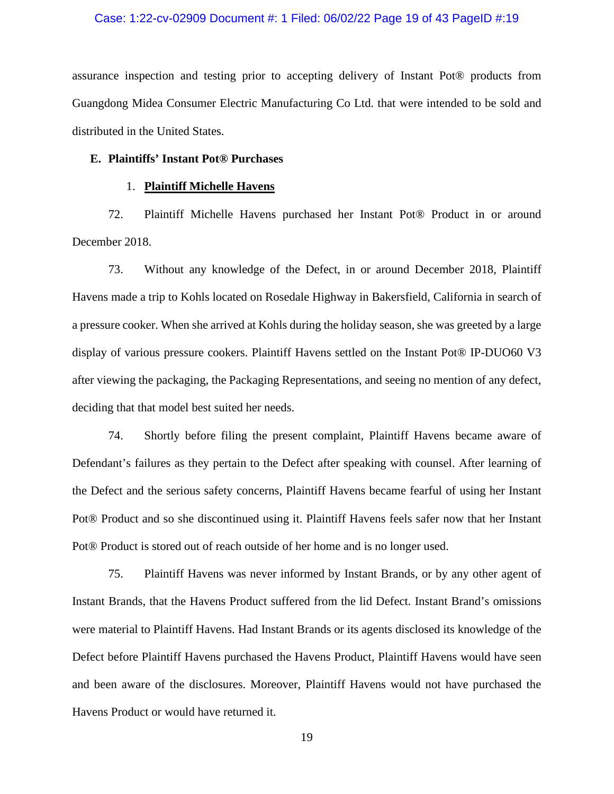### Case: 1:22-cv-02909 Document #: 1 Filed: 06/02/22 Page 19 of 43 PageID #:19

assurance inspection and testing prior to accepting delivery of Instant Pot® products from Guangdong Midea Consumer Electric Manufacturing Co Ltd. that were intended to be sold and distributed in the United States.

#### **E. Plaintiffs' Instant Pot® Purchases**

#### 1. **Plaintiff Michelle Havens**

72. Plaintiff Michelle Havens purchased her Instant Pot® Product in or around December 2018.

73. Without any knowledge of the Defect, in or around December 2018, Plaintiff Havens made a trip to Kohls located on Rosedale Highway in Bakersfield, California in search of a pressure cooker. When she arrived at Kohls during the holiday season, she was greeted by a large display of various pressure cookers. Plaintiff Havens settled on the Instant Pot® IP-DUO60 V3 after viewing the packaging, the Packaging Representations, and seeing no mention of any defect, deciding that that model best suited her needs.

74. Shortly before filing the present complaint, Plaintiff Havens became aware of Defendant's failures as they pertain to the Defect after speaking with counsel. After learning of the Defect and the serious safety concerns, Plaintiff Havens became fearful of using her Instant Pot® Product and so she discontinued using it. Plaintiff Havens feels safer now that her Instant Pot® Product is stored out of reach outside of her home and is no longer used.

75. Plaintiff Havens was never informed by Instant Brands, or by any other agent of Instant Brands, that the Havens Product suffered from the lid Defect. Instant Brand's omissions were material to Plaintiff Havens. Had Instant Brands or its agents disclosed its knowledge of the Defect before Plaintiff Havens purchased the Havens Product, Plaintiff Havens would have seen and been aware of the disclosures. Moreover, Plaintiff Havens would not have purchased the Havens Product or would have returned it.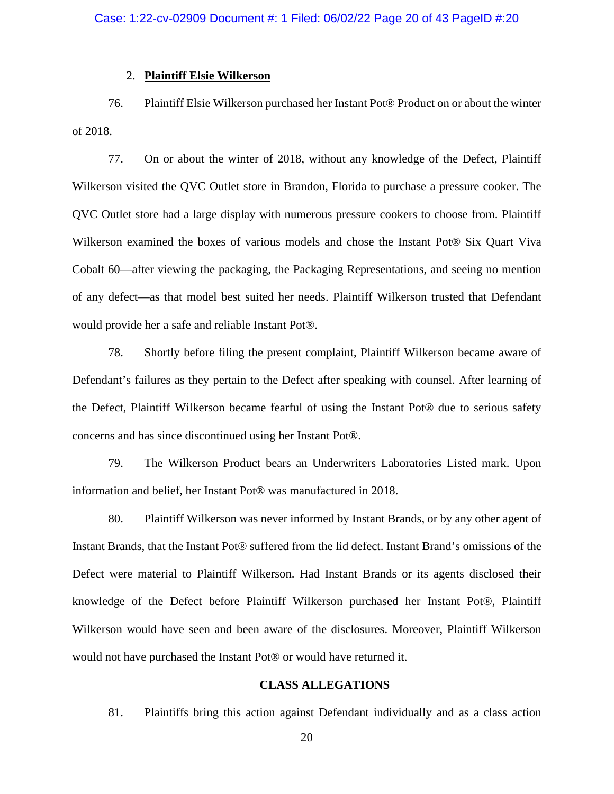#### 2. **Plaintiff Elsie Wilkerson**

76. Plaintiff Elsie Wilkerson purchased her Instant Pot® Product on or about the winter of 2018.

77. On or about the winter of 2018, without any knowledge of the Defect, Plaintiff Wilkerson visited the QVC Outlet store in Brandon, Florida to purchase a pressure cooker. The QVC Outlet store had a large display with numerous pressure cookers to choose from. Plaintiff Wilkerson examined the boxes of various models and chose the Instant Pot® Six Quart Viva Cobalt 60—after viewing the packaging, the Packaging Representations, and seeing no mention of any defect—as that model best suited her needs. Plaintiff Wilkerson trusted that Defendant would provide her a safe and reliable Instant Pot®.

78. Shortly before filing the present complaint, Plaintiff Wilkerson became aware of Defendant's failures as they pertain to the Defect after speaking with counsel. After learning of the Defect, Plaintiff Wilkerson became fearful of using the Instant Pot® due to serious safety concerns and has since discontinued using her Instant Pot®.

79. The Wilkerson Product bears an Underwriters Laboratories Listed mark. Upon information and belief, her Instant Pot® was manufactured in 2018.

80. Plaintiff Wilkerson was never informed by Instant Brands, or by any other agent of Instant Brands, that the Instant Pot® suffered from the lid defect. Instant Brand's omissions of the Defect were material to Plaintiff Wilkerson. Had Instant Brands or its agents disclosed their knowledge of the Defect before Plaintiff Wilkerson purchased her Instant Pot®, Plaintiff Wilkerson would have seen and been aware of the disclosures. Moreover, Plaintiff Wilkerson would not have purchased the Instant Pot® or would have returned it.

# **CLASS ALLEGATIONS**

81. Plaintiffs bring this action against Defendant individually and as a class action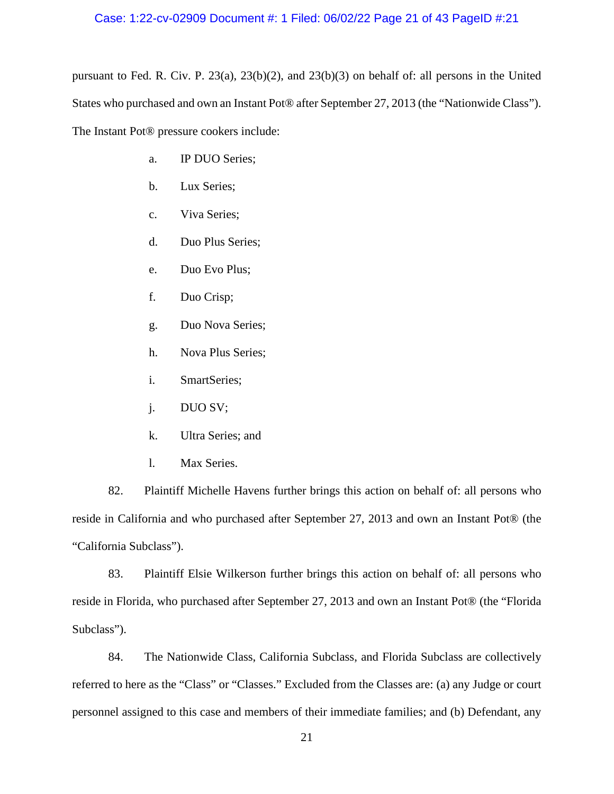# Case: 1:22-cv-02909 Document #: 1 Filed: 06/02/22 Page 21 of 43 PageID #:21

pursuant to Fed. R. Civ. P. 23(a), 23(b)(2), and 23(b)(3) on behalf of: all persons in the United States who purchased and own an Instant Pot® after September 27, 2013 (the "Nationwide Class"). The Instant Pot® pressure cookers include:

- a. IP DUO Series;
- b. Lux Series;
- c. Viva Series;
- d. Duo Plus Series;
- e. Duo Evo Plus;
- f. Duo Crisp;
- g. Duo Nova Series;
- h. Nova Plus Series;
- i. SmartSeries;
- j. DUO SV;
- k. Ultra Series; and
- l. Max Series.

82. Plaintiff Michelle Havens further brings this action on behalf of: all persons who reside in California and who purchased after September 27, 2013 and own an Instant Pot® (the "California Subclass").

83. Plaintiff Elsie Wilkerson further brings this action on behalf of: all persons who reside in Florida, who purchased after September 27, 2013 and own an Instant Pot® (the "Florida Subclass").

84. The Nationwide Class, California Subclass, and Florida Subclass are collectively referred to here as the "Class" or "Classes." Excluded from the Classes are: (a) any Judge or court personnel assigned to this case and members of their immediate families; and (b) Defendant, any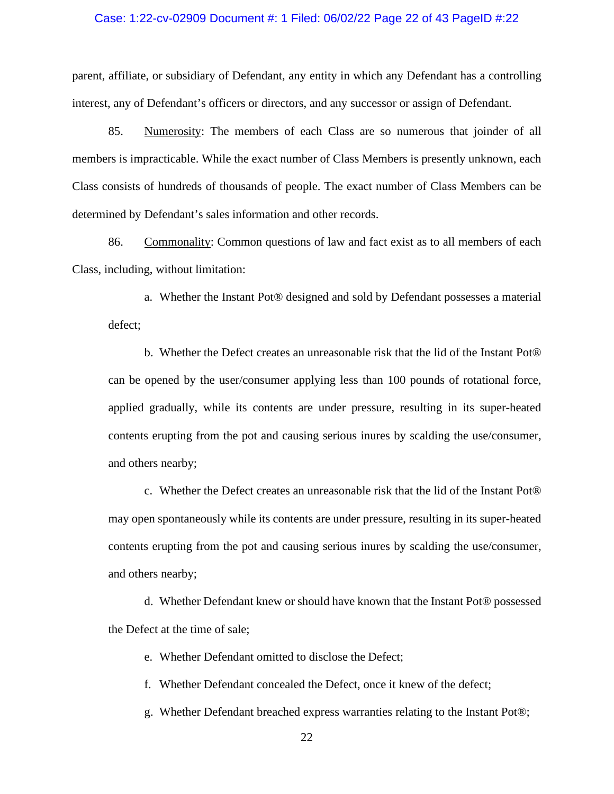### Case: 1:22-cv-02909 Document #: 1 Filed: 06/02/22 Page 22 of 43 PageID #:22

parent, affiliate, or subsidiary of Defendant, any entity in which any Defendant has a controlling interest, any of Defendant's officers or directors, and any successor or assign of Defendant.

85. Numerosity: The members of each Class are so numerous that joinder of all members is impracticable. While the exact number of Class Members is presently unknown, each Class consists of hundreds of thousands of people. The exact number of Class Members can be determined by Defendant's sales information and other records.

86. Commonality: Common questions of law and fact exist as to all members of each Class, including, without limitation:

a. Whether the Instant Pot® designed and sold by Defendant possesses a material defect;

b. Whether the Defect creates an unreasonable risk that the lid of the Instant Pot® can be opened by the user/consumer applying less than 100 pounds of rotational force, applied gradually, while its contents are under pressure, resulting in its super-heated contents erupting from the pot and causing serious inures by scalding the use/consumer, and others nearby;

c. Whether the Defect creates an unreasonable risk that the lid of the Instant Pot® may open spontaneously while its contents are under pressure, resulting in its super-heated contents erupting from the pot and causing serious inures by scalding the use/consumer, and others nearby;

d. Whether Defendant knew or should have known that the Instant Pot® possessed the Defect at the time of sale;

e. Whether Defendant omitted to disclose the Defect;

f. Whether Defendant concealed the Defect, once it knew of the defect;

g. Whether Defendant breached express warranties relating to the Instant Pot®;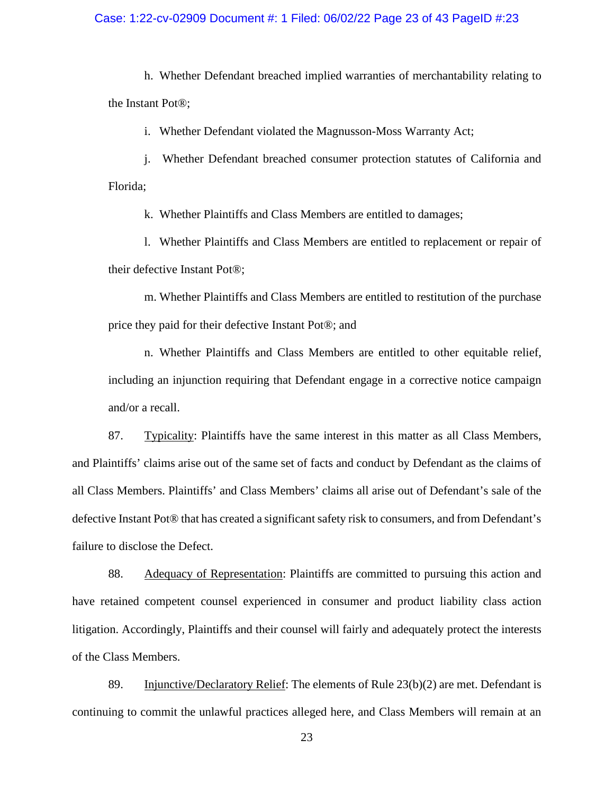# Case: 1:22-cv-02909 Document #: 1 Filed: 06/02/22 Page 23 of 43 PageID #:23

h. Whether Defendant breached implied warranties of merchantability relating to the Instant Pot®;

i. Whether Defendant violated the Magnusson-Moss Warranty Act;

j. Whether Defendant breached consumer protection statutes of California and Florida;

k. Whether Plaintiffs and Class Members are entitled to damages;

l. Whether Plaintiffs and Class Members are entitled to replacement or repair of their defective Instant Pot®;

m. Whether Plaintiffs and Class Members are entitled to restitution of the purchase price they paid for their defective Instant Pot®; and

n. Whether Plaintiffs and Class Members are entitled to other equitable relief, including an injunction requiring that Defendant engage in a corrective notice campaign and/or a recall.

87. Typicality: Plaintiffs have the same interest in this matter as all Class Members, and Plaintiffs' claims arise out of the same set of facts and conduct by Defendant as the claims of all Class Members. Plaintiffs' and Class Members' claims all arise out of Defendant's sale of the defective Instant Pot® that has created a significant safety risk to consumers, and from Defendant's failure to disclose the Defect.

88. Adequacy of Representation: Plaintiffs are committed to pursuing this action and have retained competent counsel experienced in consumer and product liability class action litigation. Accordingly, Plaintiffs and their counsel will fairly and adequately protect the interests of the Class Members.

89. Injunctive/Declaratory Relief: The elements of Rule 23(b)(2) are met. Defendant is continuing to commit the unlawful practices alleged here, and Class Members will remain at an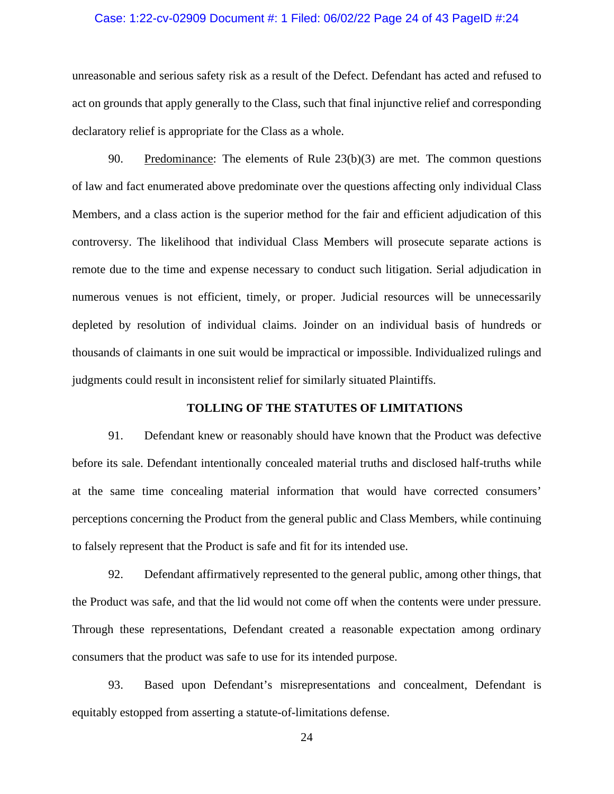### Case: 1:22-cv-02909 Document #: 1 Filed: 06/02/22 Page 24 of 43 PageID #:24

unreasonable and serious safety risk as a result of the Defect. Defendant has acted and refused to act on grounds that apply generally to the Class, such that final injunctive relief and corresponding declaratory relief is appropriate for the Class as a whole.

90. Predominance: The elements of Rule 23(b)(3) are met. The common questions of law and fact enumerated above predominate over the questions affecting only individual Class Members, and a class action is the superior method for the fair and efficient adjudication of this controversy. The likelihood that individual Class Members will prosecute separate actions is remote due to the time and expense necessary to conduct such litigation. Serial adjudication in numerous venues is not efficient, timely, or proper. Judicial resources will be unnecessarily depleted by resolution of individual claims. Joinder on an individual basis of hundreds or thousands of claimants in one suit would be impractical or impossible. Individualized rulings and judgments could result in inconsistent relief for similarly situated Plaintiffs.

# **TOLLING OF THE STATUTES OF LIMITATIONS**

91. Defendant knew or reasonably should have known that the Product was defective before its sale. Defendant intentionally concealed material truths and disclosed half-truths while at the same time concealing material information that would have corrected consumers' perceptions concerning the Product from the general public and Class Members, while continuing to falsely represent that the Product is safe and fit for its intended use.

92. Defendant affirmatively represented to the general public, among other things, that the Product was safe, and that the lid would not come off when the contents were under pressure. Through these representations, Defendant created a reasonable expectation among ordinary consumers that the product was safe to use for its intended purpose.

93. Based upon Defendant's misrepresentations and concealment, Defendant is equitably estopped from asserting a statute-of-limitations defense.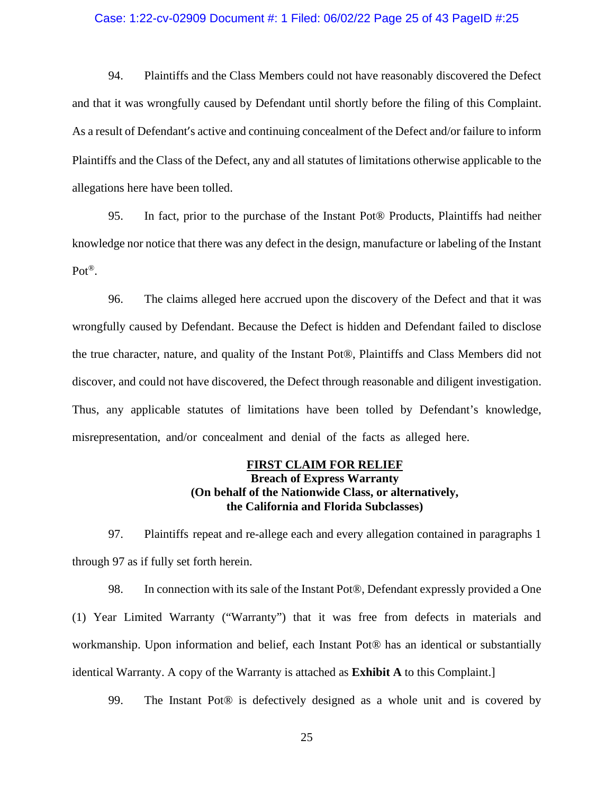#### Case: 1:22-cv-02909 Document #: 1 Filed: 06/02/22 Page 25 of 43 PageID #:25

94. Plaintiffs and the Class Members could not have reasonably discovered the Defect and that it was wrongfully caused by Defendant until shortly before the filing of this Complaint. As a result of Defendant's active and continuing concealment of the Defect and/or failure to inform Plaintiffs and the Class of the Defect, any and all statutes of limitations otherwise applicable to the allegations here have been tolled.

95. In fact, prior to the purchase of the Instant Pot® Products, Plaintiffs had neither knowledge nor notice that there was any defect in the design, manufacture or labeling of the Instant Pot®.

96. The claims alleged here accrued upon the discovery of the Defect and that it was wrongfully caused by Defendant. Because the Defect is hidden and Defendant failed to disclose the true character, nature, and quality of the Instant Pot®, Plaintiffs and Class Members did not discover, and could not have discovered, the Defect through reasonable and diligent investigation. Thus, any applicable statutes of limitations have been tolled by Defendant's knowledge, misrepresentation, and/or concealment and denial of the facts as alleged here.

# **FIRST CLAIM FOR RELIEF Breach of Express Warranty (On behalf of the Nationwide Class, or alternatively, the California and Florida Subclasses)**

97. Plaintiffs repeat and re-allege each and every allegation contained in paragraphs 1 through 97 as if fully set forth herein.

98. In connection with its sale of the Instant Pot®, Defendant expressly provided a One (1) Year Limited Warranty ("Warranty") that it was free from defects in materials and workmanship. Upon information and belief, each Instant Pot® has an identical or substantially identical Warranty. A copy of the Warranty is attached as **Exhibit A** to this Complaint.]

99. The Instant Pot® is defectively designed as a whole unit and is covered by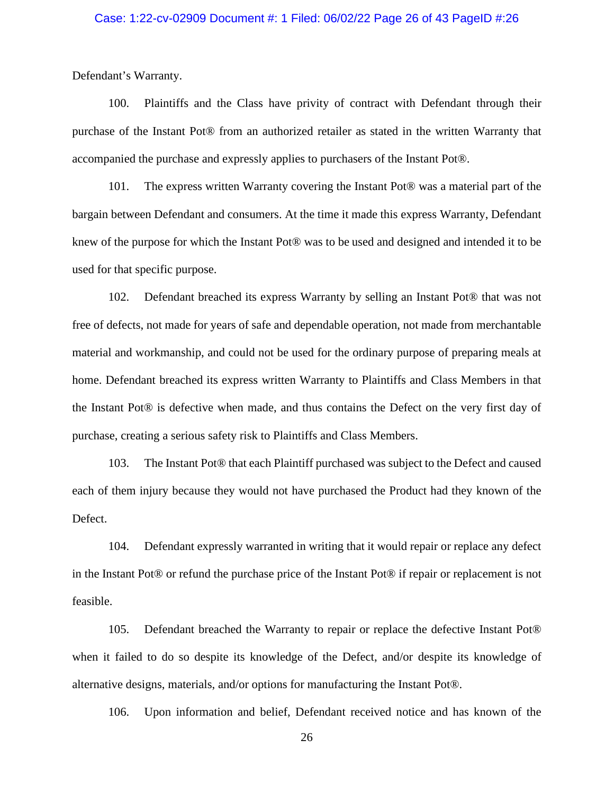### Case: 1:22-cv-02909 Document #: 1 Filed: 06/02/22 Page 26 of 43 PageID #:26

Defendant's Warranty.

100. Plaintiffs and the Class have privity of contract with Defendant through their purchase of the Instant Pot® from an authorized retailer as stated in the written Warranty that accompanied the purchase and expressly applies to purchasers of the Instant Pot®.

101. The express written Warranty covering the Instant Pot® was a material part of the bargain between Defendant and consumers. At the time it made this express Warranty, Defendant knew of the purpose for which the Instant Pot® was to be used and designed and intended it to be used for that specific purpose.

102. Defendant breached its express Warranty by selling an Instant Pot® that was not free of defects, not made for years of safe and dependable operation, not made from merchantable material and workmanship, and could not be used for the ordinary purpose of preparing meals at home. Defendant breached its express written Warranty to Plaintiffs and Class Members in that the Instant Pot® is defective when made, and thus contains the Defect on the very first day of purchase, creating a serious safety risk to Plaintiffs and Class Members.

103. The Instant Pot® that each Plaintiff purchased was subject to the Defect and caused each of them injury because they would not have purchased the Product had they known of the Defect.

104. Defendant expressly warranted in writing that it would repair or replace any defect in the Instant Pot® or refund the purchase price of the Instant Pot® if repair or replacement is not feasible.

105. Defendant breached the Warranty to repair or replace the defective Instant Pot® when it failed to do so despite its knowledge of the Defect, and/or despite its knowledge of alternative designs, materials, and/or options for manufacturing the Instant Pot®.

106. Upon information and belief, Defendant received notice and has known of the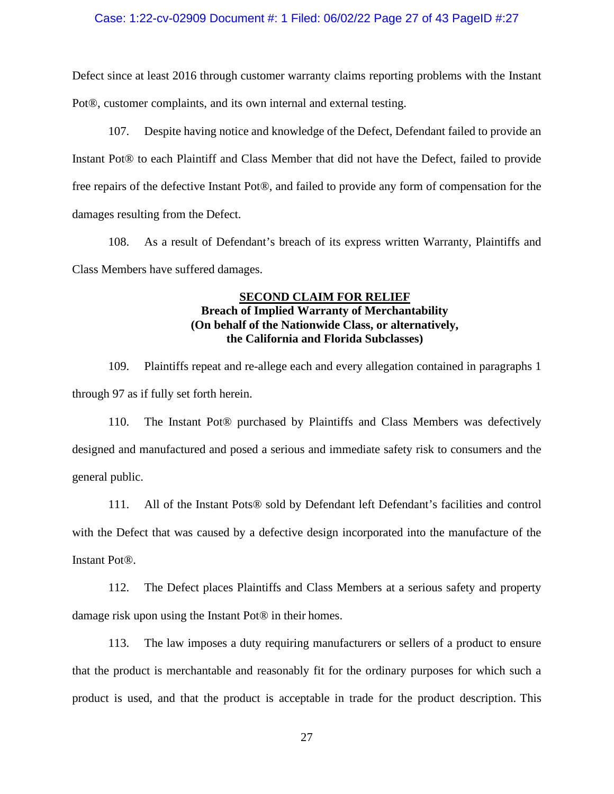# Case: 1:22-cv-02909 Document #: 1 Filed: 06/02/22 Page 27 of 43 PageID #:27

Defect since at least 2016 through customer warranty claims reporting problems with the Instant Pot®, customer complaints, and its own internal and external testing.

107. Despite having notice and knowledge of the Defect, Defendant failed to provide an Instant Pot® to each Plaintiff and Class Member that did not have the Defect, failed to provide free repairs of the defective Instant Pot®, and failed to provide any form of compensation for the damages resulting from the Defect.

108. As a result of Defendant's breach of its express written Warranty, Plaintiffs and Class Members have suffered damages.

# **SECOND CLAIM FOR RELIEF Breach of Implied Warranty of Merchantability (On behalf of the Nationwide Class, or alternatively, the California and Florida Subclasses)**

109. Plaintiffs repeat and re-allege each and every allegation contained in paragraphs 1 through 97 as if fully set forth herein.

110. The Instant Pot® purchased by Plaintiffs and Class Members was defectively designed and manufactured and posed a serious and immediate safety risk to consumers and the general public.

111. All of the Instant Pots® sold by Defendant left Defendant's facilities and control with the Defect that was caused by a defective design incorporated into the manufacture of the Instant Pot®.

112. The Defect places Plaintiffs and Class Members at a serious safety and property damage risk upon using the Instant Pot® in their homes.

113. The law imposes a duty requiring manufacturers or sellers of a product to ensure that the product is merchantable and reasonably fit for the ordinary purposes for which such a product is used, and that the product is acceptable in trade for the product description. This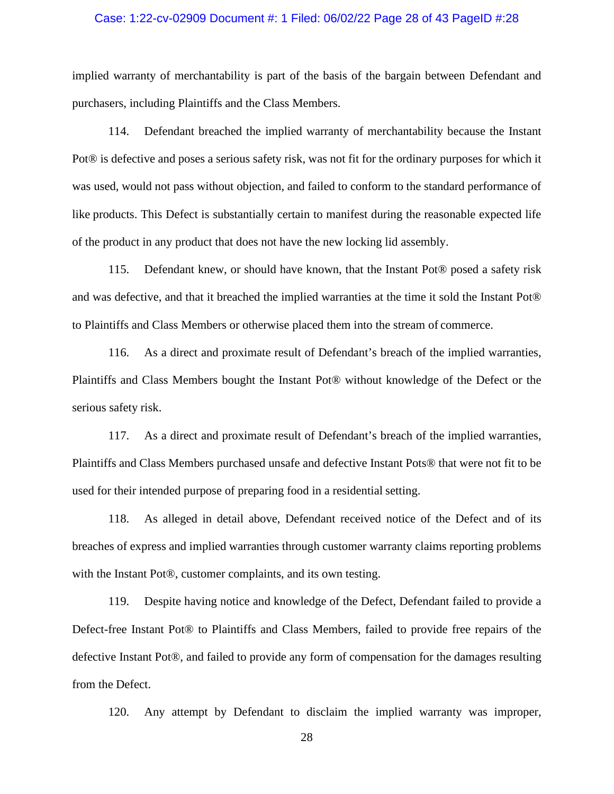### Case: 1:22-cv-02909 Document #: 1 Filed: 06/02/22 Page 28 of 43 PageID #:28

implied warranty of merchantability is part of the basis of the bargain between Defendant and purchasers, including Plaintiffs and the Class Members.

114. Defendant breached the implied warranty of merchantability because the Instant Pot® is defective and poses a serious safety risk, was not fit for the ordinary purposes for which it was used, would not pass without objection, and failed to conform to the standard performance of like products. This Defect is substantially certain to manifest during the reasonable expected life of the product in any product that does not have the new locking lid assembly.

115. Defendant knew, or should have known, that the Instant Pot® posed a safety risk and was defective, and that it breached the implied warranties at the time it sold the Instant Pot® to Plaintiffs and Class Members or otherwise placed them into the stream of commerce.

116. As a direct and proximate result of Defendant's breach of the implied warranties, Plaintiffs and Class Members bought the Instant Pot® without knowledge of the Defect or the serious safety risk.

117. As a direct and proximate result of Defendant's breach of the implied warranties, Plaintiffs and Class Members purchased unsafe and defective Instant Pots® that were not fit to be used for their intended purpose of preparing food in a residential setting.

118. As alleged in detail above, Defendant received notice of the Defect and of its breaches of express and implied warranties through customer warranty claims reporting problems with the Instant Pot®, customer complaints, and its own testing.

119. Despite having notice and knowledge of the Defect, Defendant failed to provide a Defect-free Instant Pot® to Plaintiffs and Class Members, failed to provide free repairs of the defective Instant Pot®, and failed to provide any form of compensation for the damages resulting from the Defect.

120. Any attempt by Defendant to disclaim the implied warranty was improper,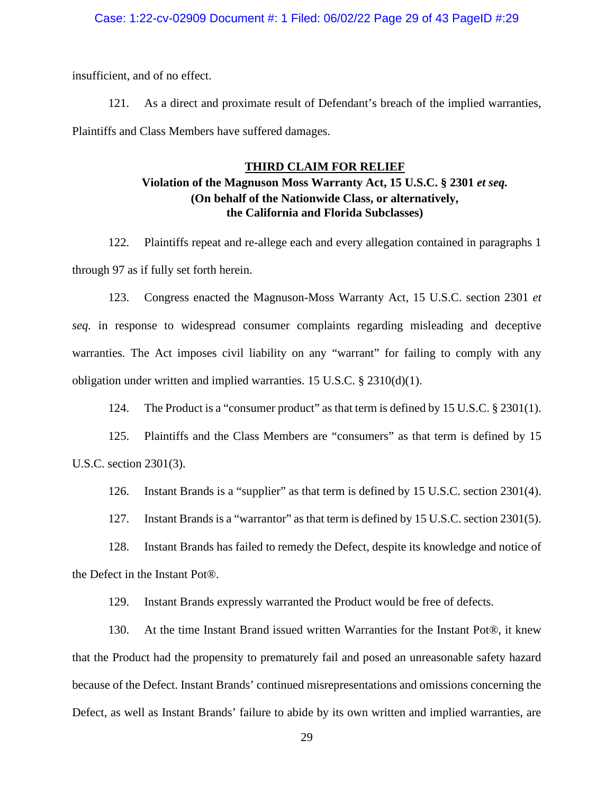## Case: 1:22-cv-02909 Document #: 1 Filed: 06/02/22 Page 29 of 43 PageID #:29

insufficient, and of no effect.

121. As a direct and proximate result of Defendant's breach of the implied warranties, Plaintiffs and Class Members have suffered damages.

# **THIRD CLAIM FOR RELIEF**

# **Violation of the Magnuson Moss Warranty Act, 15 U.S.C. § 2301** *et seq.* **(On behalf of the Nationwide Class, or alternatively, the California and Florida Subclasses)**

122. Plaintiffs repeat and re-allege each and every allegation contained in paragraphs 1 through 97 as if fully set forth herein.

123. Congress enacted the Magnuson-Moss Warranty Act, 15 U.S.C. section 2301 *et seq.* in response to widespread consumer complaints regarding misleading and deceptive warranties. The Act imposes civil liability on any "warrant" for failing to comply with any obligation under written and implied warranties. 15 U.S.C. § 2310(d)(1).

124. The Product is a "consumer product" as that term is defined by 15 U.S.C. § 2301(1).

125. Plaintiffs and the Class Members are "consumers" as that term is defined by 15 U.S.C. section 2301(3).

126. Instant Brands is a "supplier" as that term is defined by 15 U.S.C. section 2301(4).

127. Instant Brands is a "warrantor" as that term is defined by 15 U.S.C. section 2301(5).

128. Instant Brands has failed to remedy the Defect, despite its knowledge and notice of the Defect in the Instant Pot®.

129. Instant Brands expressly warranted the Product would be free of defects.

130. At the time Instant Brand issued written Warranties for the Instant Pot®, it knew that the Product had the propensity to prematurely fail and posed an unreasonable safety hazard because of the Defect. Instant Brands' continued misrepresentations and omissions concerning the Defect, as well as Instant Brands' failure to abide by its own written and implied warranties, are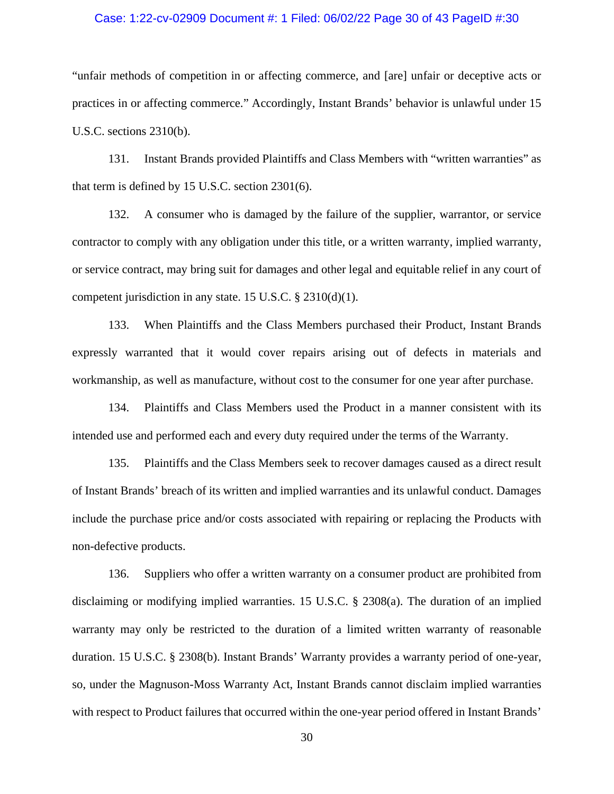### Case: 1:22-cv-02909 Document #: 1 Filed: 06/02/22 Page 30 of 43 PageID #:30

"unfair methods of competition in or affecting commerce, and [are] unfair or deceptive acts or practices in or affecting commerce." Accordingly, Instant Brands' behavior is unlawful under 15 U.S.C. sections 2310(b).

131. Instant Brands provided Plaintiffs and Class Members with "written warranties" as that term is defined by 15 U.S.C. section 2301(6).

132. A consumer who is damaged by the failure of the supplier, warrantor, or service contractor to comply with any obligation under this title, or a written warranty, implied warranty, or service contract, may bring suit for damages and other legal and equitable relief in any court of competent jurisdiction in any state. 15 U.S.C. § 2310(d)(1).

133. When Plaintiffs and the Class Members purchased their Product, Instant Brands expressly warranted that it would cover repairs arising out of defects in materials and workmanship, as well as manufacture, without cost to the consumer for one year after purchase.

134. Plaintiffs and Class Members used the Product in a manner consistent with its intended use and performed each and every duty required under the terms of the Warranty.

135. Plaintiffs and the Class Members seek to recover damages caused as a direct result of Instant Brands' breach of its written and implied warranties and its unlawful conduct. Damages include the purchase price and/or costs associated with repairing or replacing the Products with non-defective products.

136. Suppliers who offer a written warranty on a consumer product are prohibited from disclaiming or modifying implied warranties. 15 U.S.C. § 2308(a). The duration of an implied warranty may only be restricted to the duration of a limited written warranty of reasonable duration. 15 U.S.C. § 2308(b). Instant Brands' Warranty provides a warranty period of one-year, so, under the Magnuson-Moss Warranty Act, Instant Brands cannot disclaim implied warranties with respect to Product failures that occurred within the one-year period offered in Instant Brands'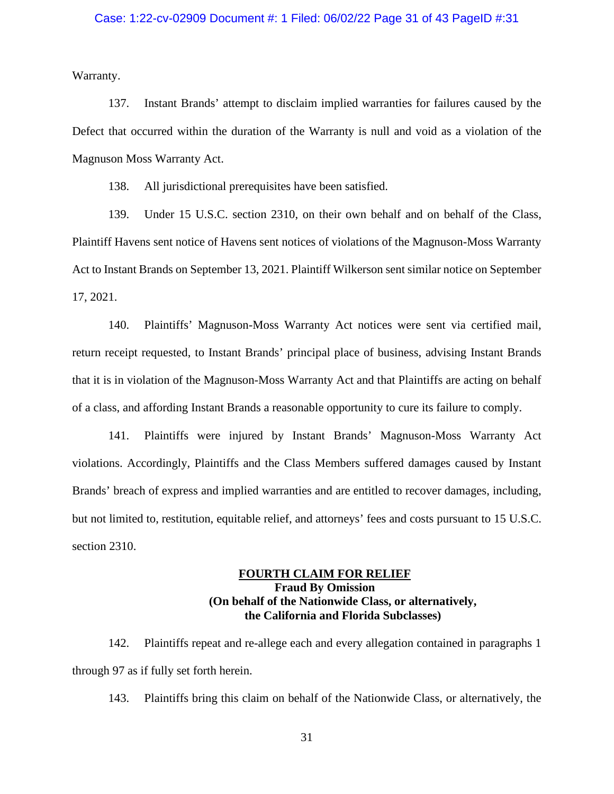Warranty.

137. Instant Brands' attempt to disclaim implied warranties for failures caused by the Defect that occurred within the duration of the Warranty is null and void as a violation of the Magnuson Moss Warranty Act.

138. All jurisdictional prerequisites have been satisfied.

139. Under 15 U.S.C. section 2310, on their own behalf and on behalf of the Class, Plaintiff Havens sent notice of Havens sent notices of violations of the Magnuson-Moss Warranty Act to Instant Brands on September 13, 2021. Plaintiff Wilkerson sent similar notice on September 17, 2021.

140. Plaintiffs' Magnuson-Moss Warranty Act notices were sent via certified mail, return receipt requested, to Instant Brands' principal place of business, advising Instant Brands that it is in violation of the Magnuson-Moss Warranty Act and that Plaintiffs are acting on behalf of a class, and affording Instant Brands a reasonable opportunity to cure its failure to comply.

141. Plaintiffs were injured by Instant Brands' Magnuson-Moss Warranty Act violations. Accordingly, Plaintiffs and the Class Members suffered damages caused by Instant Brands' breach of express and implied warranties and are entitled to recover damages, including, but not limited to, restitution, equitable relief, and attorneys' fees and costs pursuant to 15 U.S.C. section 2310.

# **FOURTH CLAIM FOR RELIEF Fraud By Omission (On behalf of the Nationwide Class, or alternatively, the California and Florida Subclasses)**

142. Plaintiffs repeat and re-allege each and every allegation contained in paragraphs 1 through 97 as if fully set forth herein.

143. Plaintiffs bring this claim on behalf of the Nationwide Class, or alternatively, the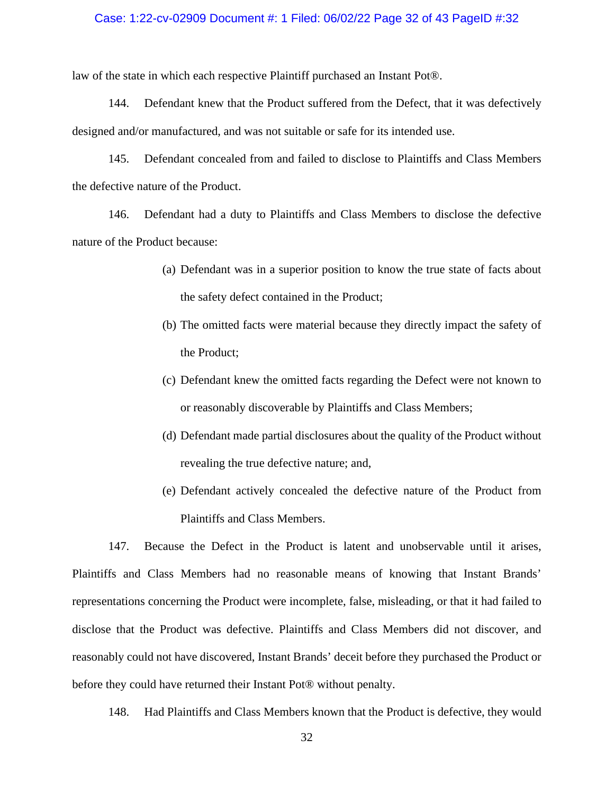### Case: 1:22-cv-02909 Document #: 1 Filed: 06/02/22 Page 32 of 43 PageID #:32

law of the state in which each respective Plaintiff purchased an Instant Pot®.

144. Defendant knew that the Product suffered from the Defect, that it was defectively designed and/or manufactured, and was not suitable or safe for its intended use.

145. Defendant concealed from and failed to disclose to Plaintiffs and Class Members the defective nature of the Product.

146. Defendant had a duty to Plaintiffs and Class Members to disclose the defective nature of the Product because:

- (a) Defendant was in a superior position to know the true state of facts about the safety defect contained in the Product;
- (b) The omitted facts were material because they directly impact the safety of the Product;
- (c) Defendant knew the omitted facts regarding the Defect were not known to or reasonably discoverable by Plaintiffs and Class Members;
- (d) Defendant made partial disclosures about the quality of the Product without revealing the true defective nature; and,
- (e) Defendant actively concealed the defective nature of the Product from Plaintiffs and Class Members.

147. Because the Defect in the Product is latent and unobservable until it arises, Plaintiffs and Class Members had no reasonable means of knowing that Instant Brands' representations concerning the Product were incomplete, false, misleading, or that it had failed to disclose that the Product was defective. Plaintiffs and Class Members did not discover, and reasonably could not have discovered, Instant Brands' deceit before they purchased the Product or before they could have returned their Instant Pot® without penalty.

148. Had Plaintiffs and Class Members known that the Product is defective, they would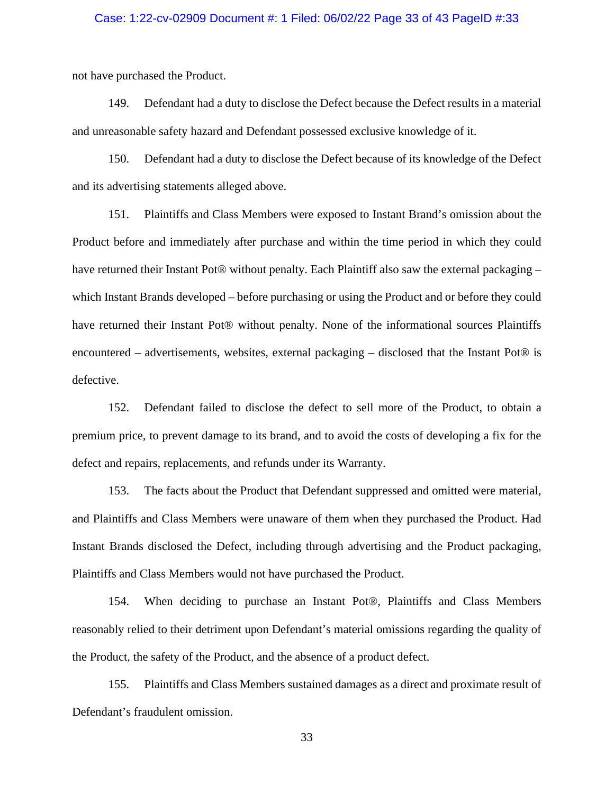### Case: 1:22-cv-02909 Document #: 1 Filed: 06/02/22 Page 33 of 43 PageID #:33

not have purchased the Product.

149. Defendant had a duty to disclose the Defect because the Defect results in a material and unreasonable safety hazard and Defendant possessed exclusive knowledge of it.

150. Defendant had a duty to disclose the Defect because of its knowledge of the Defect and its advertising statements alleged above.

151. Plaintiffs and Class Members were exposed to Instant Brand's omission about the Product before and immediately after purchase and within the time period in which they could have returned their Instant Pot® without penalty. Each Plaintiff also saw the external packaging – which Instant Brands developed – before purchasing or using the Product and or before they could have returned their Instant Pot® without penalty. None of the informational sources Plaintiffs encountered – advertisements, websites, external packaging – disclosed that the Instant Pot® is defective.

152. Defendant failed to disclose the defect to sell more of the Product, to obtain a premium price, to prevent damage to its brand, and to avoid the costs of developing a fix for the defect and repairs, replacements, and refunds under its Warranty.

153. The facts about the Product that Defendant suppressed and omitted were material, and Plaintiffs and Class Members were unaware of them when they purchased the Product. Had Instant Brands disclosed the Defect, including through advertising and the Product packaging, Plaintiffs and Class Members would not have purchased the Product.

154. When deciding to purchase an Instant Pot®, Plaintiffs and Class Members reasonably relied to their detriment upon Defendant's material omissions regarding the quality of the Product, the safety of the Product, and the absence of a product defect.

155. Plaintiffs and Class Members sustained damages as a direct and proximate result of Defendant's fraudulent omission.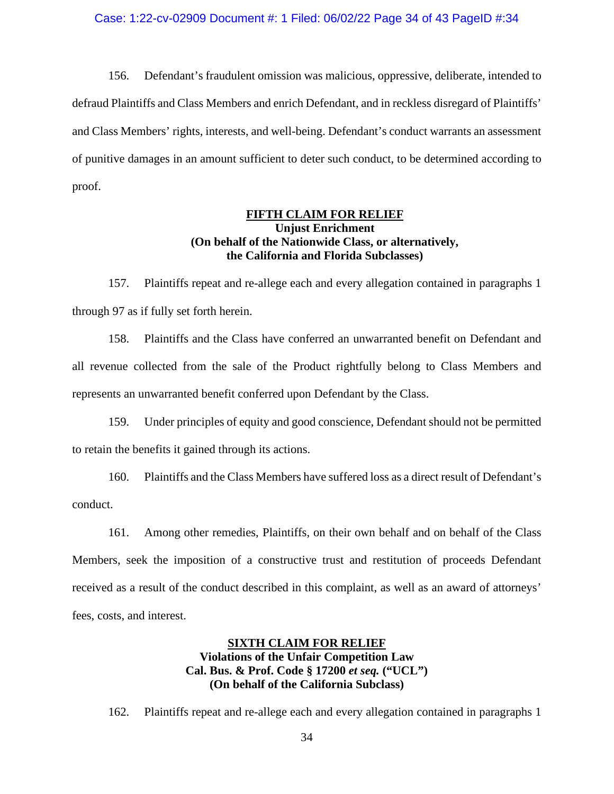### Case: 1:22-cv-02909 Document #: 1 Filed: 06/02/22 Page 34 of 43 PageID #:34

156. Defendant's fraudulent omission was malicious, oppressive, deliberate, intended to defraud Plaintiffs and Class Members and enrich Defendant, and in reckless disregard of Plaintiffs' and Class Members' rights, interests, and well-being. Defendant's conduct warrants an assessment of punitive damages in an amount sufficient to deter such conduct, to be determined according to proof.

# **FIFTH CLAIM FOR RELIEF Unjust Enrichment (On behalf of the Nationwide Class, or alternatively, the California and Florida Subclasses)**

157. Plaintiffs repeat and re-allege each and every allegation contained in paragraphs 1 through 97 as if fully set forth herein.

158. Plaintiffs and the Class have conferred an unwarranted benefit on Defendant and all revenue collected from the sale of the Product rightfully belong to Class Members and represents an unwarranted benefit conferred upon Defendant by the Class.

159. Under principles of equity and good conscience, Defendant should not be permitted to retain the benefits it gained through its actions.

160. Plaintiffs and the Class Members have suffered loss as a direct result of Defendant's conduct.

161. Among other remedies, Plaintiffs, on their own behalf and on behalf of the Class Members, seek the imposition of a constructive trust and restitution of proceeds Defendant received as a result of the conduct described in this complaint, as well as an award of attorneys' fees, costs, and interest.

# **SIXTH CLAIM FOR RELIEF Violations of the Unfair Competition Law Cal. Bus. & Prof. Code § 17200** *et seq.* **("UCL") (On behalf of the California Subclass)**

162. Plaintiffs repeat and re-allege each and every allegation contained in paragraphs 1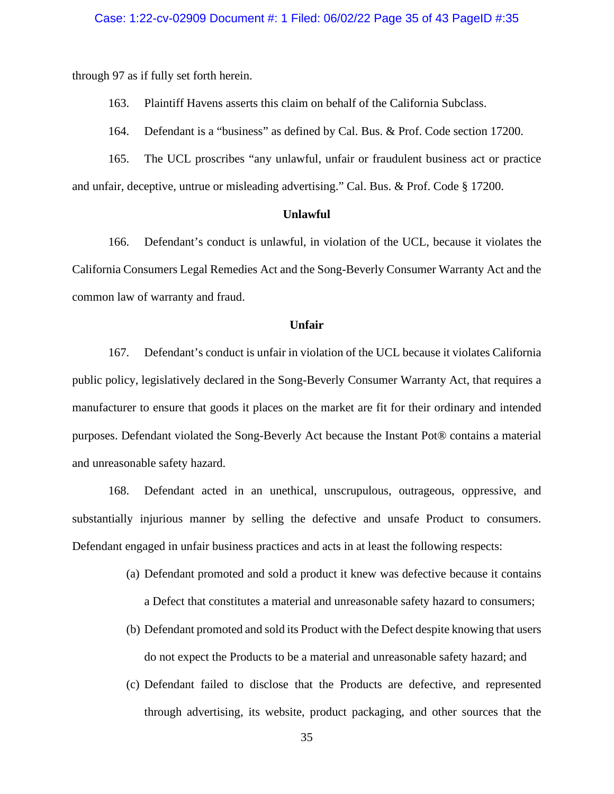through 97 as if fully set forth herein.

163. Plaintiff Havens asserts this claim on behalf of the California Subclass.

164. Defendant is a "business" as defined by Cal. Bus. & Prof. Code section 17200.

165. The UCL proscribes "any unlawful, unfair or fraudulent business act or practice and unfair, deceptive, untrue or misleading advertising." Cal. Bus. & Prof. Code § 17200.

#### **Unlawful**

166. Defendant's conduct is unlawful, in violation of the UCL, because it violates the California Consumers Legal Remedies Act and the Song-Beverly Consumer Warranty Act and the common law of warranty and fraud.

### **Unfair**

167. Defendant's conduct is unfair in violation of the UCL because it violates California public policy, legislatively declared in the Song-Beverly Consumer Warranty Act, that requires a manufacturer to ensure that goods it places on the market are fit for their ordinary and intended purposes. Defendant violated the Song-Beverly Act because the Instant Pot® contains a material and unreasonable safety hazard.

168. Defendant acted in an unethical, unscrupulous, outrageous, oppressive, and substantially injurious manner by selling the defective and unsafe Product to consumers. Defendant engaged in unfair business practices and acts in at least the following respects:

- (a) Defendant promoted and sold a product it knew was defective because it contains a Defect that constitutes a material and unreasonable safety hazard to consumers;
- (b) Defendant promoted and sold its Product with the Defect despite knowing that users do not expect the Products to be a material and unreasonable safety hazard; and
- (c) Defendant failed to disclose that the Products are defective, and represented through advertising, its website, product packaging, and other sources that the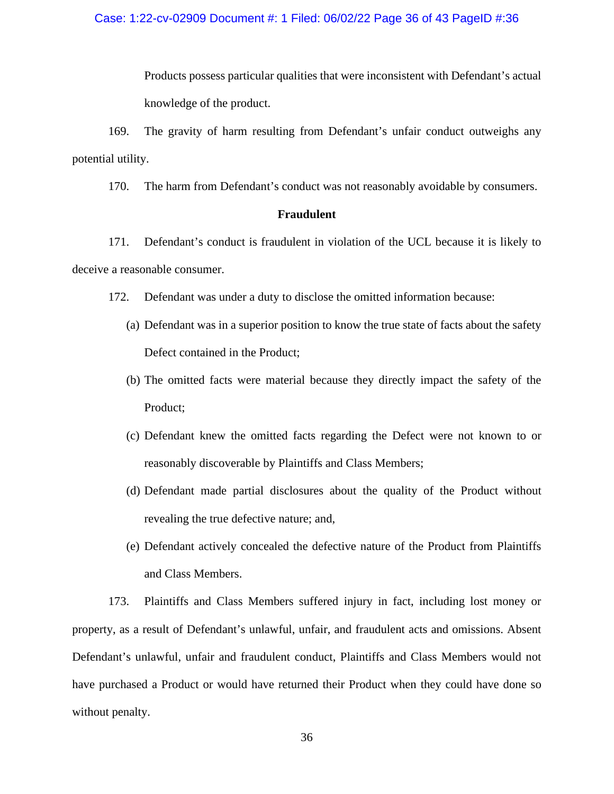Products possess particular qualities that were inconsistent with Defendant's actual knowledge of the product.

169. The gravity of harm resulting from Defendant's unfair conduct outweighs any potential utility.

170. The harm from Defendant's conduct was not reasonably avoidable by consumers.

## **Fraudulent**

171. Defendant's conduct is fraudulent in violation of the UCL because it is likely to deceive a reasonable consumer.

- 172. Defendant was under a duty to disclose the omitted information because:
	- (a) Defendant was in a superior position to know the true state of facts about the safety Defect contained in the Product;
	- (b) The omitted facts were material because they directly impact the safety of the Product;
	- (c) Defendant knew the omitted facts regarding the Defect were not known to or reasonably discoverable by Plaintiffs and Class Members;
	- (d) Defendant made partial disclosures about the quality of the Product without revealing the true defective nature; and,
	- (e) Defendant actively concealed the defective nature of the Product from Plaintiffs and Class Members.

173. Plaintiffs and Class Members suffered injury in fact, including lost money or property, as a result of Defendant's unlawful, unfair, and fraudulent acts and omissions. Absent Defendant's unlawful, unfair and fraudulent conduct, Plaintiffs and Class Members would not have purchased a Product or would have returned their Product when they could have done so without penalty.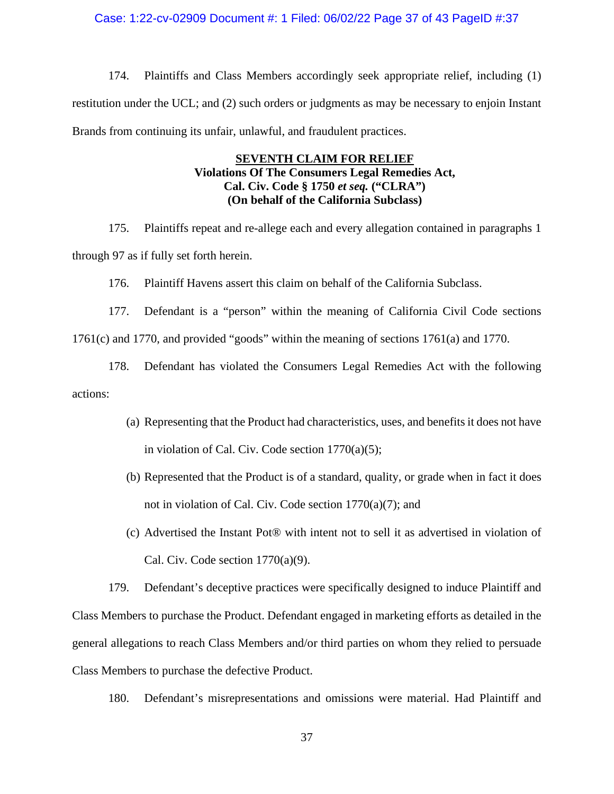### Case: 1:22-cv-02909 Document #: 1 Filed: 06/02/22 Page 37 of 43 PageID #:37

174. Plaintiffs and Class Members accordingly seek appropriate relief, including (1) restitution under the UCL; and (2) such orders or judgments as may be necessary to enjoin Instant Brands from continuing its unfair, unlawful, and fraudulent practices.

# **SEVENTH CLAIM FOR RELIEF Violations Of The Consumers Legal Remedies Act, Cal. Civ. Code § 1750** *et seq.* **("CLRA") (On behalf of the California Subclass)**

175. Plaintiffs repeat and re-allege each and every allegation contained in paragraphs 1 through 97 as if fully set forth herein.

176. Plaintiff Havens assert this claim on behalf of the California Subclass.

177. Defendant is a "person" within the meaning of California Civil Code sections 1761(c) and 1770, and provided "goods" within the meaning of sections 1761(a) and 1770.

178. Defendant has violated the Consumers Legal Remedies Act with the following actions:

- (a) Representing that the Product had characteristics, uses, and benefits it does not have in violation of Cal. Civ. Code section 1770(a)(5);
- (b) Represented that the Product is of a standard, quality, or grade when in fact it does not in violation of Cal. Civ. Code section 1770(a)(7); and
- (c) Advertised the Instant Pot® with intent not to sell it as advertised in violation of Cal. Civ. Code section  $1770(a)(9)$ .

179. Defendant's deceptive practices were specifically designed to induce Plaintiff and Class Members to purchase the Product. Defendant engaged in marketing efforts as detailed in the general allegations to reach Class Members and/or third parties on whom they relied to persuade Class Members to purchase the defective Product.

180. Defendant's misrepresentations and omissions were material. Had Plaintiff and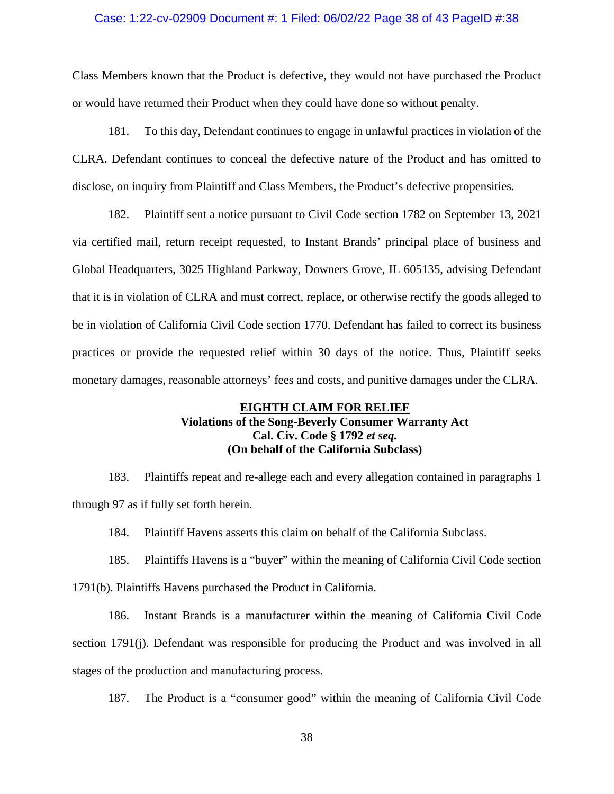### Case: 1:22-cv-02909 Document #: 1 Filed: 06/02/22 Page 38 of 43 PageID #:38

Class Members known that the Product is defective, they would not have purchased the Product or would have returned their Product when they could have done so without penalty.

181. To this day, Defendant continues to engage in unlawful practices in violation of the CLRA. Defendant continues to conceal the defective nature of the Product and has omitted to disclose, on inquiry from Plaintiff and Class Members, the Product's defective propensities.

182. Plaintiff sent a notice pursuant to Civil Code section 1782 on September 13, 2021 via certified mail, return receipt requested, to Instant Brands' principal place of business and Global Headquarters, 3025 Highland Parkway, Downers Grove, IL 605135, advising Defendant that it is in violation of CLRA and must correct, replace, or otherwise rectify the goods alleged to be in violation of California Civil Code section 1770. Defendant has failed to correct its business practices or provide the requested relief within 30 days of the notice. Thus, Plaintiff seeks monetary damages, reasonable attorneys' fees and costs, and punitive damages under the CLRA.

# **EIGHTH CLAIM FOR RELIEF Violations of the Song-Beverly Consumer Warranty Act Cal. Civ. Code § 1792** *et seq.* **(On behalf of the California Subclass)**

183. Plaintiffs repeat and re-allege each and every allegation contained in paragraphs 1 through 97 as if fully set forth herein.

184. Plaintiff Havens asserts this claim on behalf of the California Subclass.

185. Plaintiffs Havens is a "buyer" within the meaning of California Civil Code section 1791(b). Plaintiffs Havens purchased the Product in California.

186. Instant Brands is a manufacturer within the meaning of California Civil Code section 1791(j). Defendant was responsible for producing the Product and was involved in all stages of the production and manufacturing process.

187. The Product is a "consumer good" within the meaning of California Civil Code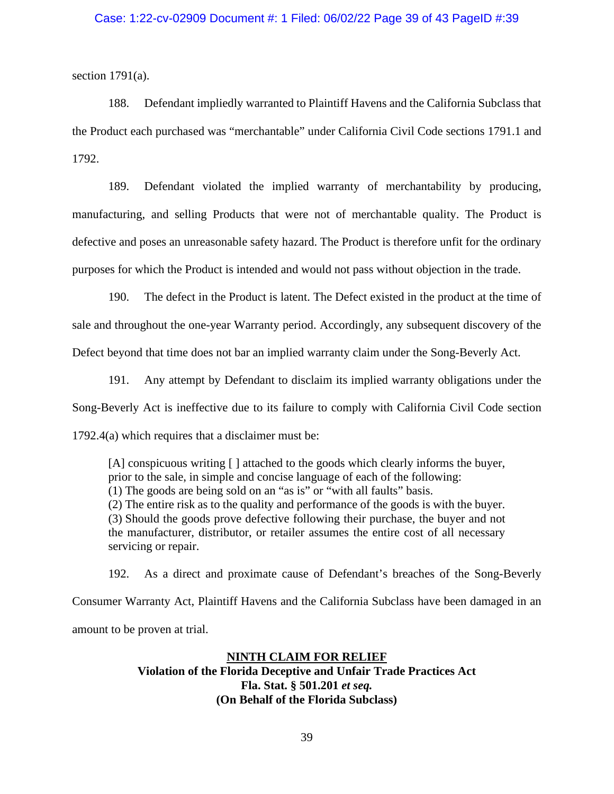# Case: 1:22-cv-02909 Document #: 1 Filed: 06/02/22 Page 39 of 43 PageID #:39

section  $1791(a)$ .

188. Defendant impliedly warranted to Plaintiff Havens and the California Subclass that the Product each purchased was "merchantable" under California Civil Code sections 1791.1 and 1792.

189. Defendant violated the implied warranty of merchantability by producing, manufacturing, and selling Products that were not of merchantable quality. The Product is defective and poses an unreasonable safety hazard. The Product is therefore unfit for the ordinary purposes for which the Product is intended and would not pass without objection in the trade.

190. The defect in the Product is latent. The Defect existed in the product at the time of sale and throughout the one-year Warranty period. Accordingly, any subsequent discovery of the Defect beyond that time does not bar an implied warranty claim under the Song-Beverly Act.

191. Any attempt by Defendant to disclaim its implied warranty obligations under the Song-Beverly Act is ineffective due to its failure to comply with California Civil Code section 1792.4(a) which requires that a disclaimer must be:

[A] conspicuous writing [] attached to the goods which clearly informs the buyer, prior to the sale, in simple and concise language of each of the following: (1) The goods are being sold on an "as is" or "with all faults" basis. (2) The entire risk as to the quality and performance of the goods is with the buyer. (3) Should the goods prove defective following their purchase, the buyer and not the manufacturer, distributor, or retailer assumes the entire cost of all necessary servicing or repair.

192. As a direct and proximate cause of Defendant's breaches of the Song-Beverly Consumer Warranty Act, Plaintiff Havens and the California Subclass have been damaged in an amount to be proven at trial.

# **NINTH CLAIM FOR RELIEF**

**Violation of the Florida Deceptive and Unfair Trade Practices Act Fla. Stat. § 501.201** *et seq.* **(On Behalf of the Florida Subclass)**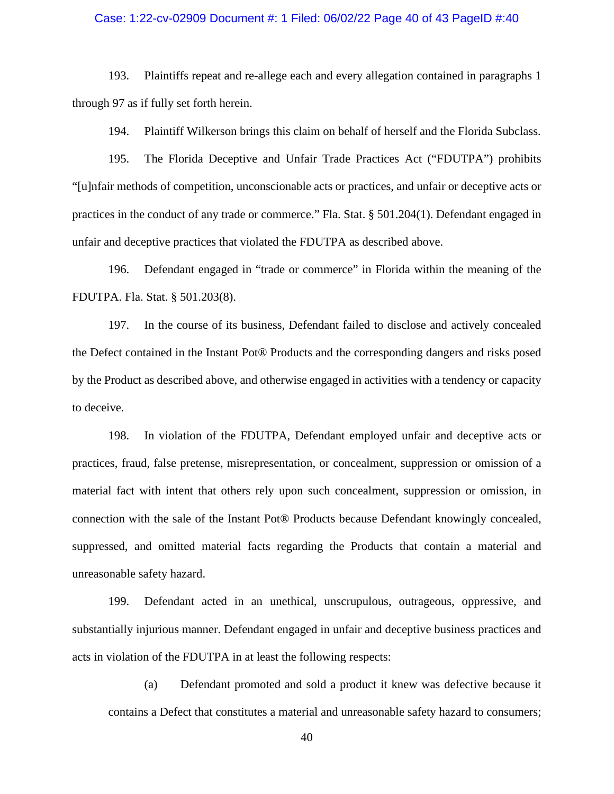### Case: 1:22-cv-02909 Document #: 1 Filed: 06/02/22 Page 40 of 43 PageID #:40

193. Plaintiffs repeat and re-allege each and every allegation contained in paragraphs 1 through 97 as if fully set forth herein.

194. Plaintiff Wilkerson brings this claim on behalf of herself and the Florida Subclass.

195. The Florida Deceptive and Unfair Trade Practices Act ("FDUTPA") prohibits "[u]nfair methods of competition, unconscionable acts or practices, and unfair or deceptive acts or practices in the conduct of any trade or commerce." Fla. Stat. § 501.204(1). Defendant engaged in unfair and deceptive practices that violated the FDUTPA as described above.

196. Defendant engaged in "trade or commerce" in Florida within the meaning of the FDUTPA. Fla. Stat. § 501.203(8).

197. In the course of its business, Defendant failed to disclose and actively concealed the Defect contained in the Instant Pot® Products and the corresponding dangers and risks posed by the Product as described above, and otherwise engaged in activities with a tendency or capacity to deceive.

198. In violation of the FDUTPA, Defendant employed unfair and deceptive acts or practices, fraud, false pretense, misrepresentation, or concealment, suppression or omission of a material fact with intent that others rely upon such concealment, suppression or omission, in connection with the sale of the Instant Pot® Products because Defendant knowingly concealed, suppressed, and omitted material facts regarding the Products that contain a material and unreasonable safety hazard.

199. Defendant acted in an unethical, unscrupulous, outrageous, oppressive, and substantially injurious manner. Defendant engaged in unfair and deceptive business practices and acts in violation of the FDUTPA in at least the following respects:

(a) Defendant promoted and sold a product it knew was defective because it contains a Defect that constitutes a material and unreasonable safety hazard to consumers;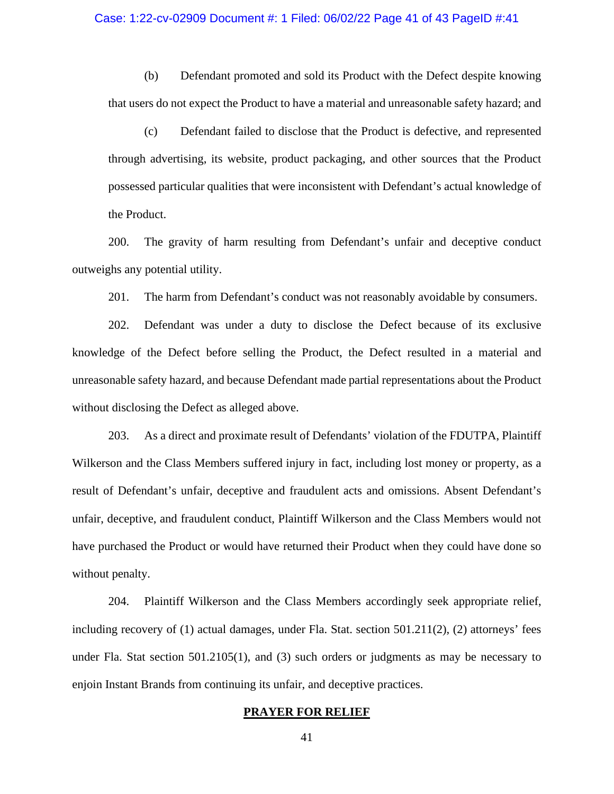#### Case: 1:22-cv-02909 Document #: 1 Filed: 06/02/22 Page 41 of 43 PageID #:41

(b) Defendant promoted and sold its Product with the Defect despite knowing that users do not expect the Product to have a material and unreasonable safety hazard; and

(c) Defendant failed to disclose that the Product is defective, and represented through advertising, its website, product packaging, and other sources that the Product possessed particular qualities that were inconsistent with Defendant's actual knowledge of the Product.

200. The gravity of harm resulting from Defendant's unfair and deceptive conduct outweighs any potential utility.

201. The harm from Defendant's conduct was not reasonably avoidable by consumers.

202. Defendant was under a duty to disclose the Defect because of its exclusive knowledge of the Defect before selling the Product, the Defect resulted in a material and unreasonable safety hazard, and because Defendant made partial representations about the Product without disclosing the Defect as alleged above.

203. As a direct and proximate result of Defendants' violation of the FDUTPA, Plaintiff Wilkerson and the Class Members suffered injury in fact, including lost money or property, as a result of Defendant's unfair, deceptive and fraudulent acts and omissions. Absent Defendant's unfair, deceptive, and fraudulent conduct, Plaintiff Wilkerson and the Class Members would not have purchased the Product or would have returned their Product when they could have done so without penalty.

204. Plaintiff Wilkerson and the Class Members accordingly seek appropriate relief, including recovery of (1) actual damages, under Fla. Stat. section 501.211(2), (2) attorneys' fees under Fla. Stat section 501.2105(1), and (3) such orders or judgments as may be necessary to enjoin Instant Brands from continuing its unfair, and deceptive practices.

### **PRAYER FOR RELIEF**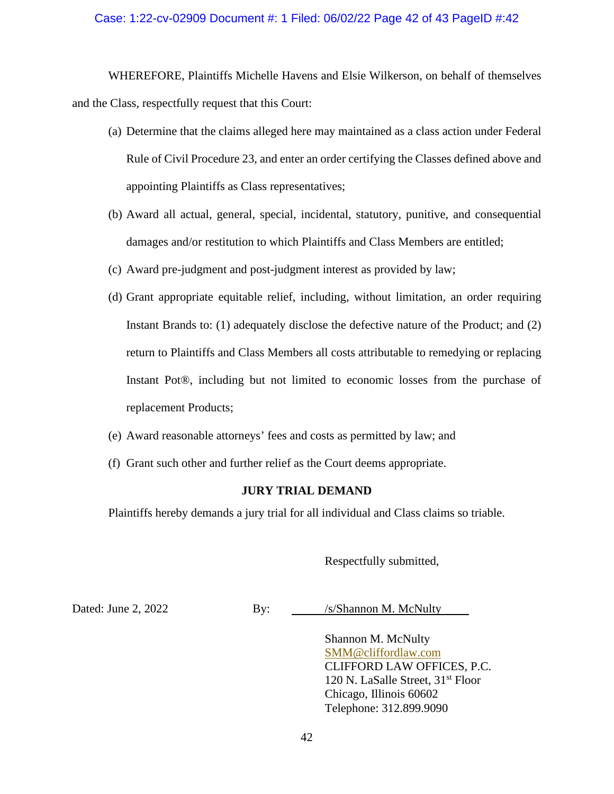# Case: 1:22-cv-02909 Document #: 1 Filed: 06/02/22 Page 42 of 43 PageID #:42

WHEREFORE, Plaintiffs Michelle Havens and Elsie Wilkerson, on behalf of themselves and the Class, respectfully request that this Court:

- (a) Determine that the claims alleged here may maintained as a class action under Federal Rule of Civil Procedure 23, and enter an order certifying the Classes defined above and appointing Plaintiffs as Class representatives;
- (b) Award all actual, general, special, incidental, statutory, punitive, and consequential damages and/or restitution to which Plaintiffs and Class Members are entitled;
- (c) Award pre-judgment and post-judgment interest as provided by law;
- (d) Grant appropriate equitable relief, including, without limitation, an order requiring Instant Brands to: (1) adequately disclose the defective nature of the Product; and (2) return to Plaintiffs and Class Members all costs attributable to remedying or replacing Instant Pot®, including but not limited to economic losses from the purchase of replacement Products;
- (e) Award reasonable attorneys' fees and costs as permitted by law; and
- (f) Grant such other and further relief as the Court deems appropriate.

# **JURY TRIAL DEMAND**

Plaintiffs hereby demands a jury trial for all individual and Class claims so triable.

Respectfully submitted,

Dated: June 2, 2022 By: /s/Shannon M. McNulty

Shannon M. McNulty SMM@cliffordlaw.com CLIFFORD LAW OFFICES, P.C. 120 N. LaSalle Street, 31st Floor Chicago, Illinois 60602 Telephone: 312.899.9090